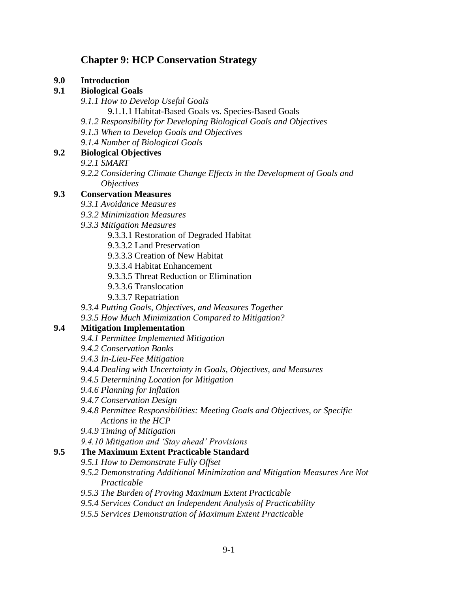# **Chapter 9: HCP Conservation Strategy**

**9.0 Introduction** 

#### **9.1 Biological Goals**

- *9.1.1 How to Develop Useful Goals*
	- 9.1.1.1 Habitat-Based Goals vs. Species-Based Goals
- *9.1.2 Responsibility for Developing Biological Goals and Objectives*
- *9.1.3 When to Develop Goals and Objectives*
- *9.1.4 Number of Biological Goals*

#### **9.2 Biological Objectives**

- *9.2.1 SMART*
- *9.2.2 Considering Climate Change Effects in the Development of Goals and Objectives*

### **9.3 Conservation Measures**

- *9.3.1 Avoidance Measures*
- *9.3.2 Minimization Measures*
- *9.3.3 Mitigation Measures*
	- 9.3.3.1 Restoration of Degraded Habitat
	- 9.3.3.2 Land Preservation
	- 9.3.3.3 Creation of New Habitat
	- 9.3.3.4 Habitat Enhancement
	- 9.3.3.5 Threat Reduction or Elimination
	- 9.3.3.6 Translocation
	- 9.3.3.7 Repatriation
- *9.3.4 Putting Goals, Objectives, and Measures Together*
- *9.3.5 How Much Minimization Compared to Mitigation?*

#### **9.4 Mitigation Implementation**

- *9.4.1 Permittee Implemented Mitigation*
- *9.4.2 Conservation Banks*
- *9.4.3 In-Lieu-Fee Mitigation*
- 9.4.4 *Dealing with Uncertainty in Goals, Objectives, and Measures*
- *9.4.5 Determining Location for Mitigation*
- *9.4.6 Planning for Inflation*
- *9.4.7 Conservation Design*
- *9.4.8 Permittee Responsibilities: Meeting Goals and Objectives, or Specific Actions in the HCP*
- *9.4.9 Timing of Mitigation*
- *9.4.10 Mitigation and 'Stay ahead' Provisions*

# **9.5 The Maximum Extent Practicable Standard**

- *9.5.1 How to Demonstrate Fully Offset*
- *9.5.2 Demonstrating Additional Minimization and Mitigation Measures Are Not Practicable*
- *9.5.3 The Burden of Proving Maximum Extent Practicable*
- *9.5.4 Services Conduct an Independent Analysis of Practicability*
- *9.5.5 Services Demonstration of Maximum Extent Practicable*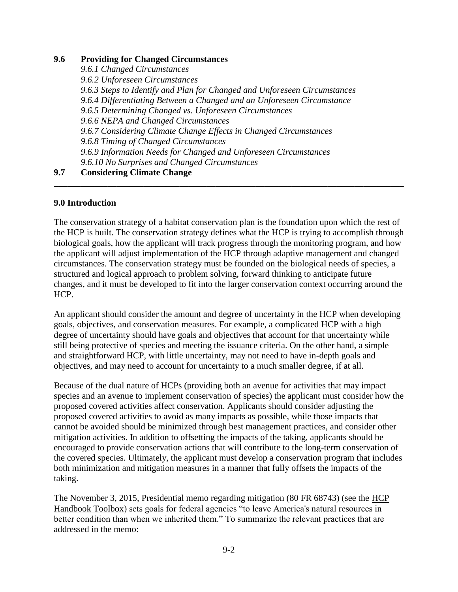#### **9.6 Providing for Changed Circumstances**

*9.6.1 Changed Circumstances 9.6.2 Unforeseen Circumstances 9.6.3 Steps to Identify and Plan for Changed and Unforeseen Circumstances 9.6.4 Differentiating Between a Changed and an Unforeseen Circumstance 9.6.5 Determining Changed vs. Unforeseen Circumstances 9.6.6 NEPA and Changed Circumstances 9.6.7 Considering Climate Change Effects in Changed Circumstances 9.6.8 Timing of Changed Circumstances 9.6.9 Information Needs for Changed and Unforeseen Circumstances 9.6.10 No Surprises and Changed Circumstances*

# **9.7 Considering Climate Change**

### **9.0 Introduction**

The conservation strategy of a habitat conservation plan is the foundation upon which the rest of the HCP is built. The conservation strategy defines what the HCP is trying to accomplish through biological goals, how the applicant will track progress through the monitoring program, and how the applicant will adjust implementation of the HCP through adaptive management and changed circumstances. The conservation strategy must be founded on the biological needs of species, a structured and logical approach to problem solving, forward thinking to anticipate future changes, and it must be developed to fit into the larger conservation context occurring around the HCP.

**\_\_\_\_\_\_\_\_\_\_\_\_\_\_\_\_\_\_\_\_\_\_\_\_\_\_\_\_\_\_\_\_\_\_\_\_\_\_\_\_\_\_\_\_\_\_\_\_\_\_\_\_\_\_\_\_\_\_\_\_\_\_\_\_\_\_\_\_\_\_\_\_\_\_\_\_\_\_**

An applicant should consider the amount and degree of uncertainty in the HCP when developing goals, objectives, and conservation measures. For example, a complicated HCP with a high degree of uncertainty should have goals and objectives that account for that uncertainty while still being protective of species and meeting the issuance criteria. On the other hand, a simple and straightforward HCP, with little uncertainty, may not need to have in-depth goals and objectives, and may need to account for uncertainty to a much smaller degree, if at all.

Because of the dual nature of HCPs (providing both an avenue for activities that may impact species and an avenue to implement conservation of species) the applicant must consider how the proposed covered activities affect conservation. Applicants should consider adjusting the proposed covered activities to avoid as many impacts as possible, while those impacts that cannot be avoided should be minimized through best management practices, and consider other mitigation activities. In addition to offsetting the impacts of the taking, applicants should be encouraged to provide conservation actions that will contribute to the long-term conservation of the covered species. Ultimately, the applicant must develop a conservation program that includes both minimization and mitigation measures in a manner that fully offsets the impacts of the taking.

The November 3, 2015, Presidential memo regarding mitigation (80 FR 68743) (see the [HCP](https://www.fws.gov/endangered/what-we-do/hcp-handbook-toolbox.html#Ch9)  [Handbook Toolbox\)](https://www.fws.gov/endangered/what-we-do/hcp-handbook-toolbox.html#Ch9) sets goals for federal agencies "to leave America's natural resources in better condition than when we inherited them." To summarize the relevant practices that are addressed in the memo: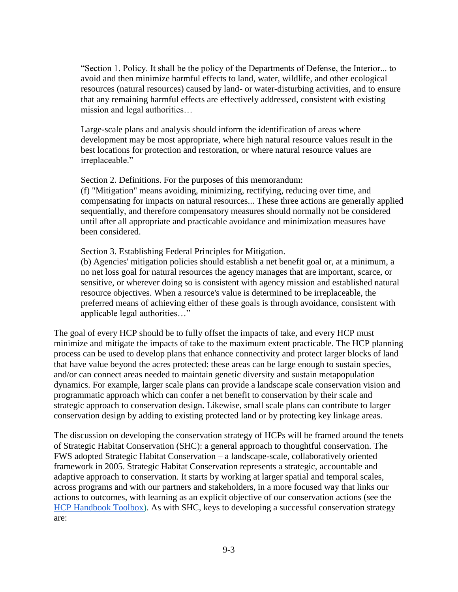"Section 1. Policy. It shall be the policy of the Departments of Defense, the Interior... to avoid and then minimize harmful effects to land, water, wildlife, and other ecological resources (natural resources) caused by land- or water-disturbing activities, and to ensure that any remaining harmful effects are effectively addressed, consistent with existing mission and legal authorities…

Large-scale plans and analysis should inform the identification of areas where development may be most appropriate, where high natural resource values result in the best locations for protection and restoration, or where natural resource values are irreplaceable."

Section 2. Definitions. For the purposes of this memorandum:

(f) "Mitigation" means avoiding, minimizing, rectifying, reducing over time, and compensating for impacts on natural resources... These three actions are generally applied sequentially, and therefore compensatory measures should normally not be considered until after all appropriate and practicable avoidance and minimization measures have been considered.

Section 3. Establishing Federal Principles for Mitigation.

(b) Agencies' mitigation policies should establish a net benefit goal or, at a minimum, a no net loss goal for natural resources the agency manages that are important, scarce, or sensitive, or wherever doing so is consistent with agency mission and established natural resource objectives. When a resource's value is determined to be irreplaceable, the preferred means of achieving either of these goals is through avoidance, consistent with applicable legal authorities…"

The goal of every HCP should be to fully offset the impacts of take, and every HCP must minimize and mitigate the impacts of take to the maximum extent practicable. The HCP planning process can be used to develop plans that enhance connectivity and protect larger blocks of land that have value beyond the acres protected: these areas can be large enough to sustain species, and/or can connect areas needed to maintain genetic diversity and sustain metapopulation dynamics. For example, larger scale plans can provide a landscape scale conservation vision and programmatic approach which can confer a net benefit to conservation by their scale and strategic approach to conservation design. Likewise, small scale plans can contribute to larger conservation design by adding to existing protected land or by protecting key linkage areas.

The discussion on developing the conservation strategy of HCPs will be framed around the tenets of Strategic Habitat Conservation (SHC): a general approach to thoughtful conservation. The FWS adopted Strategic Habitat Conservation – a landscape-scale, collaboratively oriented framework in 2005. Strategic Habitat Conservation represents a strategic, accountable and adaptive approach to conservation. It starts by working at larger spatial and temporal scales, across programs and with our partners and stakeholders, in a more focused way that links our actions to outcomes, with learning as an explicit objective of our conservation actions (see the [HCP Handbook Toolbox\)](https://www.fws.gov/endangered/what-we-do/hcp-handbook-toolbox.html#Ch9). As with SHC, keys to developing a successful conservation strategy are: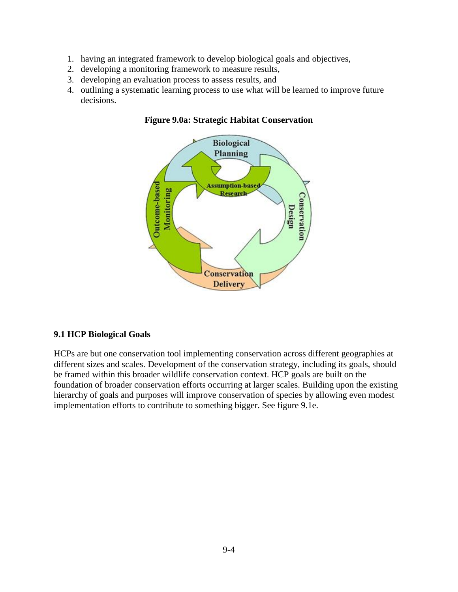- 1. having an integrated framework to develop biological goals and objectives,
- 2. developing a monitoring framework to measure results,
- 3. developing an evaluation process to assess results, and
- 4. outlining a systematic learning process to use what will be learned to improve future decisions.



### **Figure 9.0a: Strategic Habitat Conservation**

### **9.1 HCP Biological Goals**

HCPs are but one conservation tool implementing conservation across different geographies at different sizes and scales. Development of the conservation strategy, including its goals, should be framed within this broader wildlife conservation context. HCP goals are built on the foundation of broader conservation efforts occurring at larger scales. Building upon the existing hierarchy of goals and purposes will improve conservation of species by allowing even modest implementation efforts to contribute to something bigger. See figure 9.1e.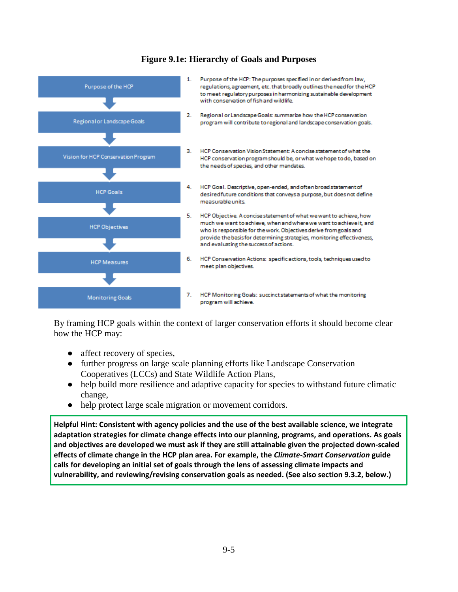

#### **Figure 9.1e: Hierarchy of Goals and Purposes**

By framing HCP goals within the context of larger conservation efforts it should become clear how the HCP may:

- affect recovery of species,
- further progress on large scale planning efforts like Landscape Conservation Cooperatives (LCCs) and State Wildlife Action Plans,
- help build more resilience and adaptive capacity for species to withstand future climatic change,
- help protect large scale migration or movement corridors.

**Helpful Hint: Consistent with agency policies and the use of the best available science, we integrate adaptation strategies for climate change effects into our planning, programs, and operations. As goals and objectives are developed we must ask if they are still attainable given the projected down-scaled effects of climate change in the HCP plan area. For example, the** *Climate-Smart Conservation* **guide calls for developing an initial set of goals through the lens of assessing climate impacts and vulnerability, and reviewing/revising conservation goals as needed. (See also section 9.3.2, below.)**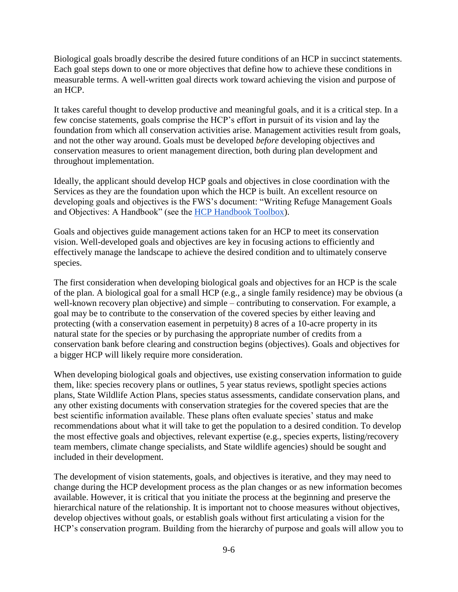Biological goals broadly describe the desired future conditions of an HCP in succinct statements. Each goal steps down to one or more objectives that define how to achieve these conditions in measurable terms. A well-written goal directs work toward achieving the vision and purpose of an HCP.

It takes careful thought to develop productive and meaningful goals, and it is a critical step. In a few concise statements, goals comprise the HCP's effort in pursuit of its vision and lay the foundation from which all conservation activities arise. Management activities result from goals, and not the other way around. Goals must be developed *before* developing objectives and conservation measures to orient management direction, both during plan development and throughout implementation.

Ideally, the applicant should develop HCP goals and objectives in close coordination with the Services as they are the foundation upon which the HCP is built. An excellent resource on developing goals and objectives is the FWS's document: "Writing Refuge Management Goals and Objectives: A Handbook" (see the [HCP Handbook Toolbox\)](https://www.fws.gov/endangered/what-we-do/hcp-handbook-toolbox.html#Ch9).

Goals and objectives guide management actions taken for an HCP to meet its conservation vision. Well-developed goals and objectives are key in focusing actions to efficiently and effectively manage the landscape to achieve the desired condition and to ultimately conserve species.

The first consideration when developing biological goals and objectives for an HCP is the scale of the plan. A biological goal for a small HCP (e.g., a single family residence) may be obvious (a well-known recovery plan objective) and simple – contributing to conservation. For example, a goal may be to contribute to the conservation of the covered species by either leaving and protecting (with a conservation easement in perpetuity) 8 acres of a 10-acre property in its natural state for the species or by purchasing the appropriate number of credits from a conservation bank before clearing and construction begins (objectives). Goals and objectives for a bigger HCP will likely require more consideration.

When developing biological goals and objectives, use existing conservation information to guide them, like: species recovery plans or outlines, 5 year status reviews, spotlight species actions plans, State Wildlife Action Plans, species status assessments, candidate conservation plans, and any other existing documents with conservation strategies for the covered species that are the best scientific information available. These plans often evaluate species' status and make recommendations about what it will take to get the population to a desired condition. To develop the most effective goals and objectives, relevant expertise (e.g., species experts, listing/recovery team members, climate change specialists, and State wildlife agencies) should be sought and included in their development.

The development of vision statements, goals, and objectives is iterative, and they may need to change during the HCP development process as the plan changes or as new information becomes available. However, it is critical that you initiate the process at the beginning and preserve the hierarchical nature of the relationship. It is important not to choose measures without objectives, develop objectives without goals, or establish goals without first articulating a vision for the HCP's conservation program. Building from the hierarchy of purpose and goals will allow you to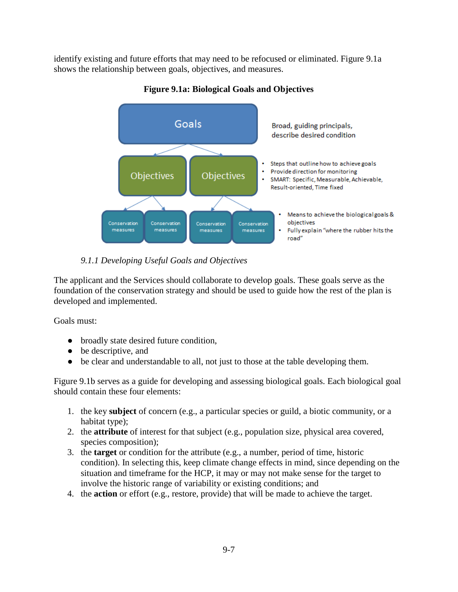identify existing and future efforts that may need to be refocused or eliminated. Figure 9.1a shows the relationship between goals, objectives, and measures.



## **Figure 9.1a: Biological Goals and Objectives**

# *9.1.1 Developing Useful Goals and Objectives*

The applicant and the Services should collaborate to develop goals. These goals serve as the foundation of the conservation strategy and should be used to guide how the rest of the plan is developed and implemented.

Goals must:

- broadly state desired future condition,
- be descriptive, and
- be clear and understandable to all, not just to those at the table developing them.

Figure 9.1b serves as a guide for developing and assessing biological goals. Each biological goal should contain these four elements:

- 1. the key **subject** of concern (e.g., a particular species or guild, a biotic community, or a habitat type);
- 2. the **attribute** of interest for that subject (e.g., population size, physical area covered, species composition);
- 3. the **target** or condition for the attribute (e.g., a number, period of time, historic condition). In selecting this, keep climate change effects in mind, since depending on the situation and timeframe for the HCP, it may or may not make sense for the target to involve the historic range of variability or existing conditions; and
- 4. the **action** or effort (e.g., restore, provide) that will be made to achieve the target.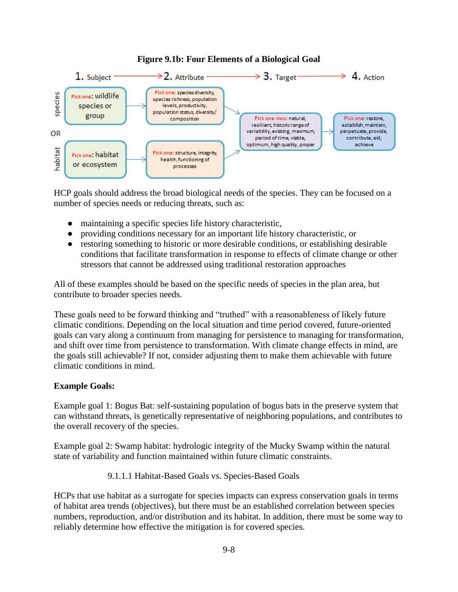## **Figure 9.1b: Four Elements of a Biological Goal**



HCP goals should address the broad biological needs of the species. They can be focused on a number of species needs or reducing threats, such as:

- maintaining a specific species life history characteristic,
- providing conditions necessary for an important life history characteristic, or
- restoring something to historic or more desirable conditions, or establishing desirable conditions that facilitate transformation in response to effects of climate change or other stressors that cannot be addressed using traditional restoration approaches

All of these examples should be based on the specific needs of species in the plan area, but contribute to broader species needs.

These goals need to be forward thinking and "truthed" with a reasonableness of likely future climatic conditions. Depending on the local situation and time period covered, future-oriented goals can vary along a continuum from managing for persistence to managing for transformation, and shift over time from persistence to transformation. With climate change effects in mind, are the goals still achievable? If not, consider adjusting them to make them achievable with future climatic conditions in mind.

### **Example Goals:**

Example goal 1: Bogus Bat: self-sustaining population of bogus bats in the preserve system that can withstand threats, is genetically representative of neighboring populations, and contributes to the overall recovery of the species.

Example goal 2: Swamp habitat: hydrologic integrity of the Mucky Swamp within the natural state of variability and function maintained within future climatic constraints.

9.1.1.1 Habitat-Based Goals vs. Species-Based Goals

HCPs that use habitat as a surrogate for species impacts can express conservation goals in terms of habitat area trends (objectives), but there must be an established correlation between species numbers, reproduction, and/or distribution and its habitat. In addition, there must be some way to reliably determine how effective the mitigation is for covered species.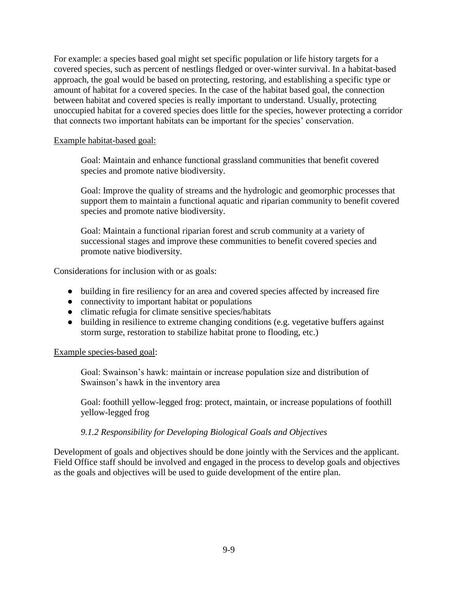For example: a species based goal might set specific population or life history targets for a covered species, such as percent of nestlings fledged or over-winter survival. In a habitat-based approach, the goal would be based on protecting, restoring, and establishing a specific type or amount of habitat for a covered species. In the case of the habitat based goal, the connection between habitat and covered species is really important to understand. Usually, protecting unoccupied habitat for a covered species does little for the species, however protecting a corridor that connects two important habitats can be important for the species' conservation.

### Example habitat-based goal:

Goal: Maintain and enhance functional grassland communities that benefit covered species and promote native biodiversity.

Goal: Improve the quality of streams and the hydrologic and geomorphic processes that support them to maintain a functional aquatic and riparian community to benefit covered species and promote native biodiversity.

Goal: Maintain a functional riparian forest and scrub community at a variety of successional stages and improve these communities to benefit covered species and promote native biodiversity.

Considerations for inclusion with or as goals:

- building in fire resiliency for an area and covered species affected by increased fire
- connectivity to important habitat or populations
- climatic refugia for climate sensitive species/habitats
- building in resilience to extreme changing conditions (e.g. vegetative buffers against storm surge, restoration to stabilize habitat prone to flooding, etc.)

#### Example species-based goal:

Goal: Swainson's hawk: maintain or increase population size and distribution of Swainson's hawk in the inventory area

Goal: foothill yellow-legged frog: protect, maintain, or increase populations of foothill yellow-legged frog

### *9.1.2 Responsibility for Developing Biological Goals and Objectives*

Development of goals and objectives should be done jointly with the Services and the applicant. Field Office staff should be involved and engaged in the process to develop goals and objectives as the goals and objectives will be used to guide development of the entire plan.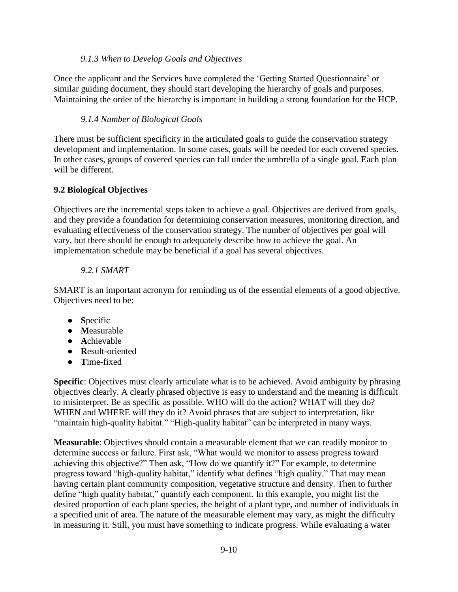### *9.1.3 When to Develop Goals and Objectives*

Once the applicant and the Services have completed the 'Getting Started Questionnaire' or similar guiding document, they should start developing the hierarchy of goals and purposes. Maintaining the order of the hierarchy is important in building a strong foundation for the HCP.

# *9.1.4 Number of Biological Goals*

There must be sufficient specificity in the articulated goals to guide the conservation strategy development and implementation. In some cases, goals will be needed for each covered species. In other cases, groups of covered species can fall under the umbrella of a single goal. Each plan will be different.

### **9.2 Biological Objectives**

Objectives are the incremental steps taken to achieve a goal. Objectives are derived from goals, and they provide a foundation for determining conservation measures, monitoring direction, and evaluating effectiveness of the conservation strategy. The number of objectives per goal will vary, but there should be enough to adequately describe how to achieve the goal. An implementation schedule may be beneficial if a goal has several objectives.

# *9.2.1 SMART*

SMART is an important acronym for reminding us of the essential elements of a good objective. Objectives need to be:

- **S**pecific
- **M**easurable
- **A**chievable
- **R**esult-oriented
- **T**ime-fixed

**Specific**: Objectives must clearly articulate what is to be achieved. Avoid ambiguity by phrasing objectives clearly. A clearly phrased objective is easy to understand and the meaning is difficult to misinterpret. Be as specific as possible. WHO will do the action? WHAT will they do? WHEN and WHERE will they do it? Avoid phrases that are subject to interpretation, like "maintain high-quality habitat." "High-quality habitat" can be interpreted in many ways.

**Measurable**: Objectives should contain a measurable element that we can readily monitor to determine success or failure. First ask, "What would we monitor to assess progress toward achieving this objective?" Then ask, "How do we quantify it?" For example, to determine progress toward "high-quality habitat," identify what defines "high quality." That may mean having certain plant community composition, vegetative structure and density. Then to further define "high quality habitat," quantify each component. In this example, you might list the desired proportion of each plant species, the height of a plant type, and number of individuals in a specified unit of area. The nature of the measurable element may vary, as might the difficulty in measuring it. Still, you must have something to indicate progress. While evaluating a water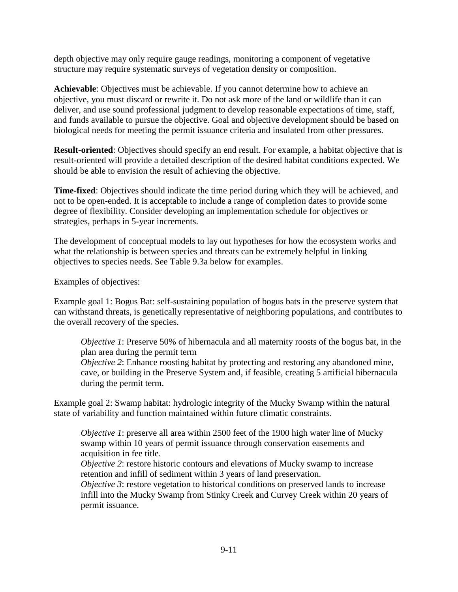depth objective may only require gauge readings, monitoring a component of vegetative structure may require systematic surveys of vegetation density or composition.

**Achievable**: Objectives must be achievable. If you cannot determine how to achieve an objective, you must discard or rewrite it. Do not ask more of the land or wildlife than it can deliver, and use sound professional judgment to develop reasonable expectations of time, staff, and funds available to pursue the objective. Goal and objective development should be based on biological needs for meeting the permit issuance criteria and insulated from other pressures.

**Result-oriented**: Objectives should specify an end result. For example, a habitat objective that is result-oriented will provide a detailed description of the desired habitat conditions expected. We should be able to envision the result of achieving the objective.

**Time-fixed**: Objectives should indicate the time period during which they will be achieved, and not to be open-ended. It is acceptable to include a range of completion dates to provide some degree of flexibility. Consider developing an implementation schedule for objectives or strategies, perhaps in 5-year increments.

The development of conceptual models to lay out hypotheses for how the ecosystem works and what the relationship is between species and threats can be extremely helpful in linking objectives to species needs. See Table 9.3a below for examples.

Examples of objectives:

Example goal 1: Bogus Bat: self-sustaining population of bogus bats in the preserve system that can withstand threats, is genetically representative of neighboring populations, and contributes to the overall recovery of the species.

*Objective 1*: Preserve 50% of hibernacula and all maternity roosts of the bogus bat, in the plan area during the permit term

*Objective 2*: Enhance roosting habitat by protecting and restoring any abandoned mine. cave, or building in the Preserve System and, if feasible, creating 5 artificial hibernacula during the permit term.

Example goal 2: Swamp habitat: hydrologic integrity of the Mucky Swamp within the natural state of variability and function maintained within future climatic constraints.

*Objective 1*: preserve all area within 2500 feet of the 1900 high water line of Mucky swamp within 10 years of permit issuance through conservation easements and acquisition in fee title.

*Objective 2*: restore historic contours and elevations of Mucky swamp to increase retention and infill of sediment within 3 years of land preservation.

*Objective 3*: restore vegetation to historical conditions on preserved lands to increase infill into the Mucky Swamp from Stinky Creek and Curvey Creek within 20 years of permit issuance.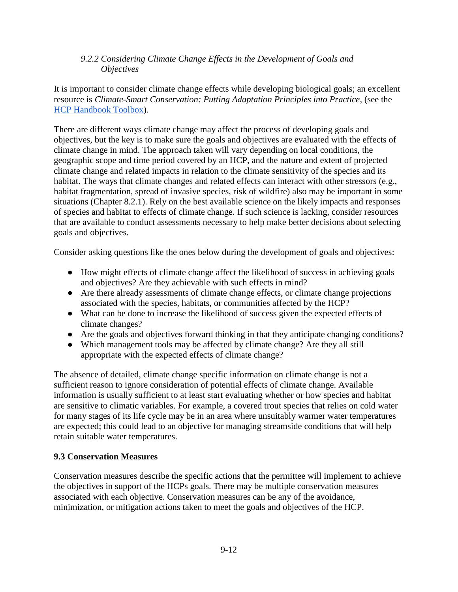### *9.2.2 Considering Climate Change Effects in the Development of Goals and Objectives*

It is important to consider climate change effects while developing biological goals; an excellent resource is *Climate-Smart Conservation: Putting Adaptation Principles into Practice*, (see the [HCP Handbook Toolbox\)](https://www.fws.gov/endangered/what-we-do/hcp-handbook-toolbox.html#Ch9).

There are different ways climate change may affect the process of developing goals and objectives, but the key is to make sure the goals and objectives are evaluated with the effects of climate change in mind. The approach taken will vary depending on local conditions, the geographic scope and time period covered by an HCP, and the nature and extent of projected climate change and related impacts in relation to the climate sensitivity of the species and its habitat. The ways that climate changes and related effects can interact with other stressors (e.g., habitat fragmentation, spread of invasive species, risk of wildfire) also may be important in some situations (Chapter 8.2.1). Rely on the best available science on the likely impacts and responses of species and habitat to effects of climate change. If such science is lacking, consider resources that are available to conduct assessments necessary to help make better decisions about selecting goals and objectives.

Consider asking questions like the ones below during the development of goals and objectives:

- How might effects of climate change affect the likelihood of success in achieving goals and objectives? Are they achievable with such effects in mind?
- Are there already assessments of climate change effects, or climate change projections associated with the species, habitats, or communities affected by the HCP?
- What can be done to increase the likelihood of success given the expected effects of climate changes?
- Are the goals and objectives forward thinking in that they anticipate changing conditions?
- Which management tools may be affected by climate change? Are they all still appropriate with the expected effects of climate change?

The absence of detailed, climate change specific information on climate change is not a sufficient reason to ignore consideration of potential effects of climate change. Available information is usually sufficient to at least start evaluating whether or how species and habitat are sensitive to climatic variables. For example, a covered trout species that relies on cold water for many stages of its life cycle may be in an area where unsuitably warmer water temperatures are expected; this could lead to an objective for managing streamside conditions that will help retain suitable water temperatures.

# **9.3 Conservation Measures**

Conservation measures describe the specific actions that the permittee will implement to achieve the objectives in support of the HCPs goals. There may be multiple conservation measures associated with each objective. Conservation measures can be any of the avoidance, minimization, or mitigation actions taken to meet the goals and objectives of the HCP.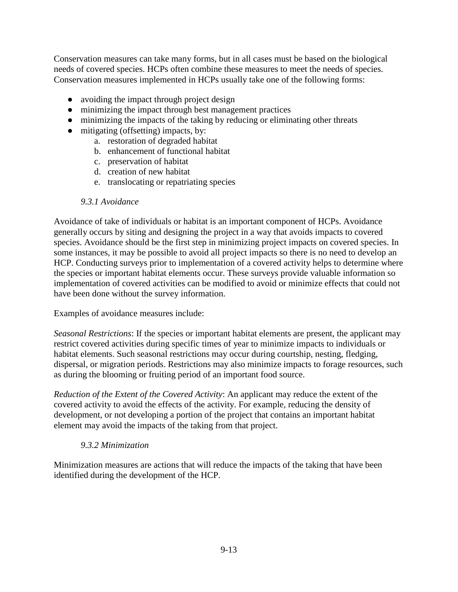Conservation measures can take many forms, but in all cases must be based on the biological needs of covered species. HCPs often combine these measures to meet the needs of species. Conservation measures implemented in HCPs usually take one of the following forms:

- avoiding the impact through project design
- minimizing the impact through best management practices
- minimizing the impacts of the taking by reducing or eliminating other threats
- mitigating (offsetting) impacts, by:
	- a. restoration of degraded habitat
	- b. enhancement of functional habitat
	- c. preservation of habitat
	- d. creation of new habitat
	- e. translocating or repatriating species

#### *9.3.1 Avoidance*

Avoidance of take of individuals or habitat is an important component of HCPs. Avoidance generally occurs by siting and designing the project in a way that avoids impacts to covered species. Avoidance should be the first step in minimizing project impacts on covered species. In some instances, it may be possible to avoid all project impacts so there is no need to develop an HCP. Conducting surveys prior to implementation of a covered activity helps to determine where the species or important habitat elements occur. These surveys provide valuable information so implementation of covered activities can be modified to avoid or minimize effects that could not have been done without the survey information.

Examples of avoidance measures include:

*Seasonal Restrictions*: If the species or important habitat elements are present, the applicant may restrict covered activities during specific times of year to minimize impacts to individuals or habitat elements. Such seasonal restrictions may occur during courtship, nesting, fledging, dispersal, or migration periods. Restrictions may also minimize impacts to forage resources, such as during the blooming or fruiting period of an important food source.

*Reduction of the Extent of the Covered Activity*: An applicant may reduce the extent of the covered activity to avoid the effects of the activity. For example, reducing the density of development, or not developing a portion of the project that contains an important habitat element may avoid the impacts of the taking from that project.

### *9.3.2 Minimization*

Minimization measures are actions that will reduce the impacts of the taking that have been identified during the development of the HCP.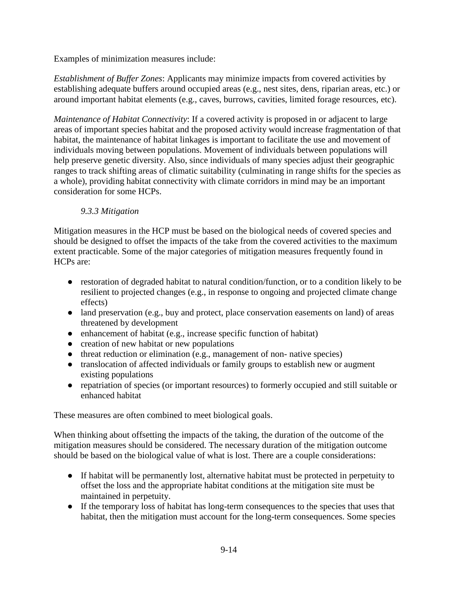Examples of minimization measures include:

*Establishment of Buffer Zones*: Applicants may minimize impacts from covered activities by establishing adequate buffers around occupied areas (e.g., nest sites, dens, riparian areas, etc.) or around important habitat elements (e.g., caves, burrows, cavities, limited forage resources, etc).

*Maintenance of Habitat Connectivity*: If a covered activity is proposed in or adjacent to large areas of important species habitat and the proposed activity would increase fragmentation of that habitat, the maintenance of habitat linkages is important to facilitate the use and movement of individuals moving between populations. Movement of individuals between populations will help preserve genetic diversity. Also, since individuals of many species adjust their geographic ranges to track shifting areas of climatic suitability (culminating in range shifts for the species as a whole), providing habitat connectivity with climate corridors in mind may be an important consideration for some HCPs.

# *9.3.3 Mitigation*

Mitigation measures in the HCP must be based on the biological needs of covered species and should be designed to offset the impacts of the take from the covered activities to the maximum extent practicable. Some of the major categories of mitigation measures frequently found in HCPs are:

- restoration of degraded habitat to natural condition/function, or to a condition likely to be resilient to projected changes (e.g., in response to ongoing and projected climate change effects)
- land preservation (e.g., buy and protect, place conservation easements on land) of areas threatened by development
- enhancement of habitat (e.g., increase specific function of habitat)
- creation of new habitat or new populations
- threat reduction or elimination (e.g., management of non- native species)
- translocation of affected individuals or family groups to establish new or augment existing populations
- repatriation of species (or important resources) to formerly occupied and still suitable or enhanced habitat

These measures are often combined to meet biological goals.

When thinking about offsetting the impacts of the taking, the duration of the outcome of the mitigation measures should be considered. The necessary duration of the mitigation outcome should be based on the biological value of what is lost. There are a couple considerations:

- If habitat will be permanently lost, alternative habitat must be protected in perpetuity to offset the loss and the appropriate habitat conditions at the mitigation site must be maintained in perpetuity.
- If the temporary loss of habitat has long-term consequences to the species that uses that habitat, then the mitigation must account for the long-term consequences. Some species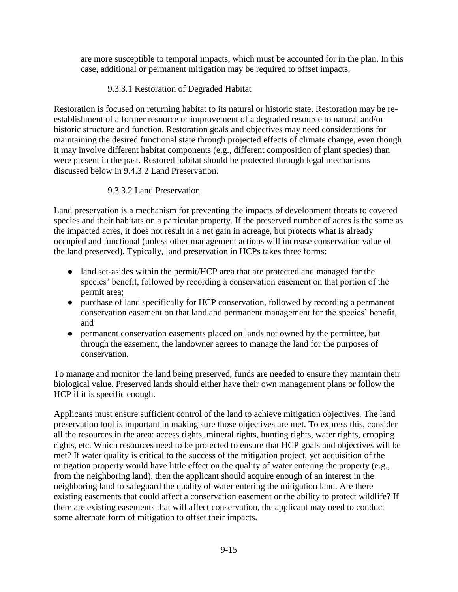are more susceptible to temporal impacts, which must be accounted for in the plan. In this case, additional or permanent mitigation may be required to offset impacts.

9.3.3.1 Restoration of Degraded Habitat

Restoration is focused on returning habitat to its natural or historic state. Restoration may be reestablishment of a former resource or improvement of a degraded resource to natural and/or historic structure and function. Restoration goals and objectives may need considerations for maintaining the desired functional state through projected effects of climate change, even though it may involve different habitat components (e.g., different composition of plant species) than were present in the past. Restored habitat should be protected through legal mechanisms discussed below in 9.4.3.2 Land Preservation.

# 9.3.3.2 Land Preservation

Land preservation is a mechanism for preventing the impacts of development threats to covered species and their habitats on a particular property. If the preserved number of acres is the same as the impacted acres, it does not result in a net gain in acreage, but protects what is already occupied and functional (unless other management actions will increase conservation value of the land preserved). Typically, land preservation in HCPs takes three forms:

- land set-asides within the permit/HCP area that are protected and managed for the species' benefit, followed by recording a conservation easement on that portion of the permit area;
- purchase of land specifically for HCP conservation, followed by recording a permanent conservation easement on that land and permanent management for the species' benefit, and
- permanent conservation easements placed on lands not owned by the permittee, but through the easement, the landowner agrees to manage the land for the purposes of conservation.

To manage and monitor the land being preserved, funds are needed to ensure they maintain their biological value. Preserved lands should either have their own management plans or follow the HCP if it is specific enough.

Applicants must ensure sufficient control of the land to achieve mitigation objectives. The land preservation tool is important in making sure those objectives are met. To express this, consider all the resources in the area: access rights, mineral rights, hunting rights, water rights, cropping rights, etc. Which resources need to be protected to ensure that HCP goals and objectives will be met? If water quality is critical to the success of the mitigation project, yet acquisition of the mitigation property would have little effect on the quality of water entering the property (e.g., from the neighboring land), then the applicant should acquire enough of an interest in the neighboring land to safeguard the quality of water entering the mitigation land. Are there existing easements that could affect a conservation easement or the ability to protect wildlife? If there are existing easements that will affect conservation, the applicant may need to conduct some alternate form of mitigation to offset their impacts.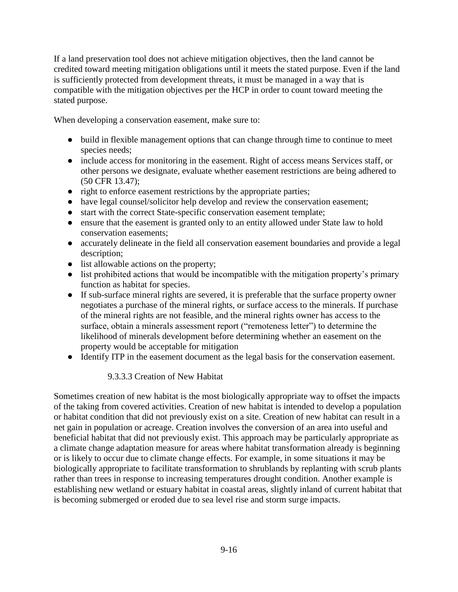If a land preservation tool does not achieve mitigation objectives, then the land cannot be credited toward meeting mitigation obligations until it meets the stated purpose. Even if the land is sufficiently protected from development threats, it must be managed in a way that is compatible with the mitigation objectives per the HCP in order to count toward meeting the stated purpose.

When developing a conservation easement, make sure to:

- build in flexible management options that can change through time to continue to meet species needs;
- include access for monitoring in the easement. Right of access means Services staff, or other persons we designate, evaluate whether easement restrictions are being adhered to (50 CFR 13.47);
- right to enforce easement restrictions by the appropriate parties;
- have legal counsel/solicitor help develop and review the conservation easement;
- start with the correct State-specific conservation easement template;
- ensure that the easement is granted only to an entity allowed under State law to hold conservation easements;
- accurately delineate in the field all conservation easement boundaries and provide a legal description;
- list allowable actions on the property;
- list prohibited actions that would be incompatible with the mitigation property's primary function as habitat for species.
- If sub-surface mineral rights are severed, it is preferable that the surface property owner negotiates a purchase of the mineral rights, or surface access to the minerals. If purchase of the mineral rights are not feasible, and the mineral rights owner has access to the surface, obtain a minerals assessment report ("remoteness letter") to determine the likelihood of minerals development before determining whether an easement on the property would be acceptable for mitigation
- Identify ITP in the easement document as the legal basis for the conservation easement.

### 9.3.3.3 Creation of New Habitat

Sometimes creation of new habitat is the most biologically appropriate way to offset the impacts of the taking from covered activities. Creation of new habitat is intended to develop a population or habitat condition that did not previously exist on a site. Creation of new habitat can result in a net gain in population or acreage. Creation involves the conversion of an area into useful and beneficial habitat that did not previously exist. This approach may be particularly appropriate as a climate change adaptation measure for areas where habitat transformation already is beginning or is likely to occur due to climate change effects. For example, in some situations it may be biologically appropriate to facilitate transformation to shrublands by replanting with scrub plants rather than trees in response to increasing temperatures drought condition. Another example is establishing new wetland or estuary habitat in coastal areas, slightly inland of current habitat that is becoming submerged or eroded due to sea level rise and storm surge impacts.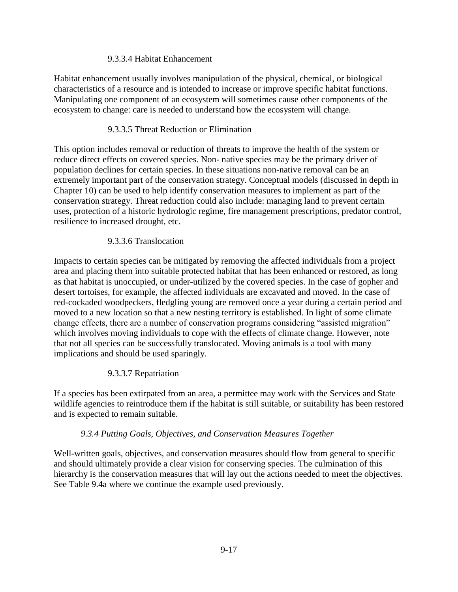### 9.3.3.4 Habitat Enhancement

Habitat enhancement usually involves manipulation of the physical, chemical, or biological characteristics of a resource and is intended to increase or improve specific habitat functions. Manipulating one component of an ecosystem will sometimes cause other components of the ecosystem to change: care is needed to understand how the ecosystem will change.

### 9.3.3.5 Threat Reduction or Elimination

This option includes removal or reduction of threats to improve the health of the system or reduce direct effects on covered species. Non- native species may be the primary driver of population declines for certain species. In these situations non-native removal can be an extremely important part of the conservation strategy. Conceptual models (discussed in depth in Chapter 10) can be used to help identify conservation measures to implement as part of the conservation strategy. Threat reduction could also include: managing land to prevent certain uses, protection of a historic hydrologic regime, fire management prescriptions, predator control, resilience to increased drought, etc.

### 9.3.3.6 Translocation

Impacts to certain species can be mitigated by removing the affected individuals from a project area and placing them into suitable protected habitat that has been enhanced or restored, as long as that habitat is unoccupied, or under-utilized by the covered species. In the case of gopher and desert tortoises, for example, the affected individuals are excavated and moved. In the case of red-cockaded woodpeckers, fledgling young are removed once a year during a certain period and moved to a new location so that a new nesting territory is established. In light of some climate change effects, there are a number of conservation programs considering "assisted migration" which involves moving individuals to cope with the effects of climate change. However, note that not all species can be successfully translocated. Moving animals is a tool with many implications and should be used sparingly.

### 9.3.3.7 Repatriation

If a species has been extirpated from an area, a permittee may work with the Services and State wildlife agencies to reintroduce them if the habitat is still suitable, or suitability has been restored and is expected to remain suitable.

### *9.3.4 Putting Goals, Objectives, and Conservation Measures Together*

Well-written goals, objectives, and conservation measures should flow from general to specific and should ultimately provide a clear vision for conserving species. The culmination of this hierarchy is the conservation measures that will lay out the actions needed to meet the objectives. See Table 9.4a where we continue the example used previously.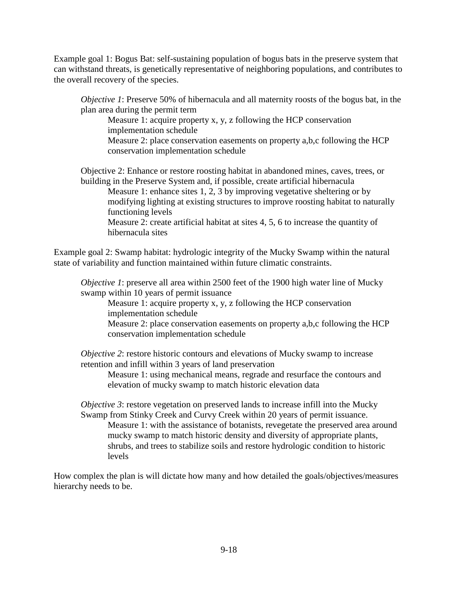Example goal 1: Bogus Bat: self-sustaining population of bogus bats in the preserve system that can withstand threats, is genetically representative of neighboring populations, and contributes to the overall recovery of the species.

*Objective 1*: Preserve 50% of hibernacula and all maternity roosts of the bogus bat, in the plan area during the permit term

Measure 1: acquire property x, y, z following the HCP conservation implementation schedule

Measure 2: place conservation easements on property a,b,c following the HCP conservation implementation schedule

Objective 2: Enhance or restore roosting habitat in abandoned mines, caves, trees, or building in the Preserve System and, if possible, create artificial hibernacula

Measure 1: enhance sites 1, 2, 3 by improving vegetative sheltering or by modifying lighting at existing structures to improve roosting habitat to naturally functioning levels

Measure 2: create artificial habitat at sites 4, 5, 6 to increase the quantity of hibernacula sites

Example goal 2: Swamp habitat: hydrologic integrity of the Mucky Swamp within the natural state of variability and function maintained within future climatic constraints.

*Objective 1*: preserve all area within 2500 feet of the 1900 high water line of Mucky swamp within 10 years of permit issuance

Measure 1: acquire property x, y, z following the HCP conservation implementation schedule

Measure 2: place conservation easements on property a,b,c following the HCP conservation implementation schedule

*Objective 2*: restore historic contours and elevations of Mucky swamp to increase retention and infill within 3 years of land preservation

Measure 1: using mechanical means, regrade and resurface the contours and elevation of mucky swamp to match historic elevation data

*Objective 3*: restore vegetation on preserved lands to increase infill into the Mucky Swamp from Stinky Creek and Curvy Creek within 20 years of permit issuance. Measure 1: with the assistance of botanists, revegetate the preserved area around mucky swamp to match historic density and diversity of appropriate plants, shrubs, and trees to stabilize soils and restore hydrologic condition to historic levels

How complex the plan is will dictate how many and how detailed the goals/objectives/measures hierarchy needs to be.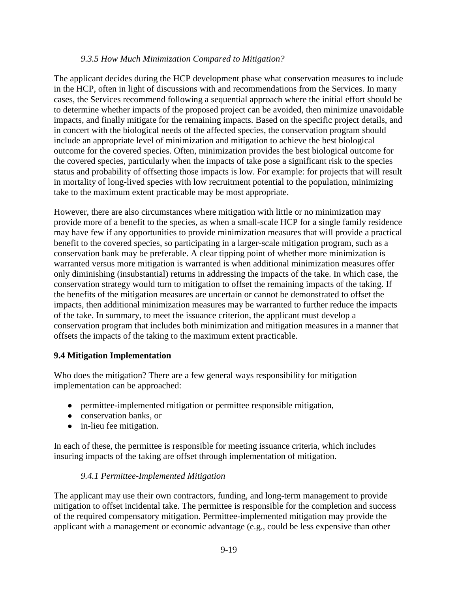#### *9.3.5 How Much Minimization Compared to Mitigation?*

The applicant decides during the HCP development phase what conservation measures to include in the HCP, often in light of discussions with and recommendations from the Services. In many cases, the Services recommend following a sequential approach where the initial effort should be to determine whether impacts of the proposed project can be avoided, then minimize unavoidable impacts, and finally mitigate for the remaining impacts. Based on the specific project details, and in concert with the biological needs of the affected species, the conservation program should include an appropriate level of minimization and mitigation to achieve the best biological outcome for the covered species. Often, minimization provides the best biological outcome for the covered species, particularly when the impacts of take pose a significant risk to the species status and probability of offsetting those impacts is low. For example: for projects that will result in mortality of long-lived species with low recruitment potential to the population, minimizing take to the maximum extent practicable may be most appropriate.

However, there are also circumstances where mitigation with little or no minimization may provide more of a benefit to the species, as when a small-scale HCP for a single family residence may have few if any opportunities to provide minimization measures that will provide a practical benefit to the covered species, so participating in a larger-scale mitigation program, such as a conservation bank may be preferable. A clear tipping point of whether more minimization is warranted versus more mitigation is warranted is when additional minimization measures offer only diminishing (insubstantial) returns in addressing the impacts of the take. In which case, the conservation strategy would turn to mitigation to offset the remaining impacts of the taking. If the benefits of the mitigation measures are uncertain or cannot be demonstrated to offset the impacts, then additional minimization measures may be warranted to further reduce the impacts of the take. In summary, to meet the issuance criterion, the applicant must develop a conservation program that includes both minimization and mitigation measures in a manner that offsets the impacts of the taking to the maximum extent practicable.

### **9.4 Mitigation Implementation**

Who does the mitigation? There are a few general ways responsibility for mitigation implementation can be approached:

- permittee-implemented mitigation or permittee responsible mitigation,
- conservation banks, or
- in-lieu fee mitigation.

In each of these, the permittee is responsible for meeting issuance criteria, which includes insuring impacts of the taking are offset through implementation of mitigation.

### *9.4.1 Permittee-Implemented Mitigation*

The applicant may use their own contractors, funding, and long-term management to provide mitigation to offset incidental take. The permittee is responsible for the completion and success of the required compensatory mitigation. Permittee-implemented mitigation may provide the applicant with a management or economic advantage (e.g., could be less expensive than other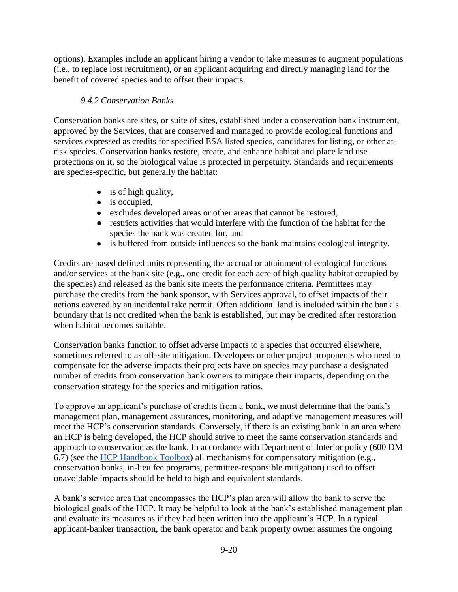options). Examples include an applicant hiring a vendor to take measures to augment populations (i.e., to replace lost recruitment), or an applicant acquiring and directly managing land for the benefit of covered species and to offset their impacts.

# *9.4.2 Conservation Banks*

Conservation banks are sites, or suite of sites, established under a conservation bank instrument, approved by the Services, that are conserved and managed to provide ecological functions and services expressed as credits for specified ESA listed species, candidates for listing, or other atrisk species. Conservation banks restore, create, and enhance habitat and place land use protections on it, so the biological value is protected in perpetuity. Standards and requirements are species-specific, but generally the habitat:

- is of high quality,
- is occupied.
- excludes developed areas or other areas that cannot be restored,
- restricts activities that would interfere with the function of the habitat for the species the bank was created for, and
- is buffered from outside influences so the bank maintains ecological integrity.

Credits are based defined units representing the accrual or attainment of ecological functions and/or services at the bank site (e.g., one credit for each acre of high quality habitat occupied by the species) and released as the bank site meets the performance criteria. Permittees may purchase the credits from the bank sponsor, with Services approval, to offset impacts of their actions covered by an incidental take permit. Often additional land is included within the bank's boundary that is not credited when the bank is established, but may be credited after restoration when habitat becomes suitable.

Conservation banks function to offset adverse impacts to a species that occurred elsewhere, sometimes referred to as off-site mitigation. Developers or other project proponents who need to compensate for the adverse impacts their projects have on species may purchase a designated number of credits from conservation bank owners to mitigate their impacts, depending on the conservation strategy for the species and mitigation ratios.

To approve an applicant's purchase of credits from a bank, we must determine that the bank's management plan, management assurances, monitoring, and adaptive management measures will meet the HCP's conservation standards. Conversely, if there is an existing bank in an area where an HCP is being developed, the HCP should strive to meet the same conservation standards and approach to conservation as the bank. In accordance with Department of Interior policy (600 DM 6.7) (see the [HCP Handbook Toolbox\)](https://www.fws.gov/endangered/what-we-do/hcp-handbook-toolbox.html#Ch9) all mechanisms for compensatory mitigation (e.g., conservation banks, in-lieu fee programs, permittee-responsible mitigation) used to offset unavoidable impacts should be held to high and equivalent standards.

A bank's service area that encompasses the HCP's plan area will allow the bank to serve the biological goals of the HCP. It may be helpful to look at the bank's established management plan and evaluate its measures as if they had been written into the applicant's HCP. In a typical applicant-banker transaction, the bank operator and bank property owner assumes the ongoing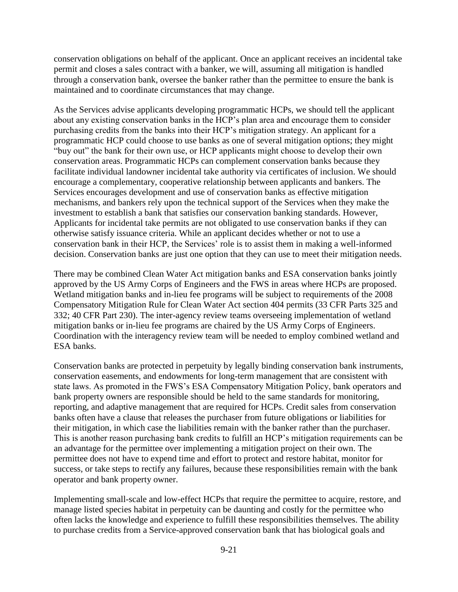conservation obligations on behalf of the applicant. Once an applicant receives an incidental take permit and closes a sales contract with a banker, we will, assuming all mitigation is handled through a conservation bank, oversee the banker rather than the permittee to ensure the bank is maintained and to coordinate circumstances that may change.

As the Services advise applicants developing programmatic HCPs, we should tell the applicant about any existing conservation banks in the HCP's plan area and encourage them to consider purchasing credits from the banks into their HCP's mitigation strategy. An applicant for a programmatic HCP could choose to use banks as one of several mitigation options; they might "buy out" the bank for their own use, or HCP applicants might choose to develop their own conservation areas. Programmatic HCPs can complement conservation banks because they facilitate individual landowner incidental take authority via certificates of inclusion. We should encourage a complementary, cooperative relationship between applicants and bankers. The Services encourages development and use of conservation banks as effective mitigation mechanisms, and bankers rely upon the technical support of the Services when they make the investment to establish a bank that satisfies our conservation banking standards. However, Applicants for incidental take permits are not obligated to use conservation banks if they can otherwise satisfy issuance criteria. While an applicant decides whether or not to use a conservation bank in their HCP, the Services' role is to assist them in making a well-informed decision. Conservation banks are just one option that they can use to meet their mitigation needs.

There may be combined Clean Water Act mitigation banks and ESA conservation banks jointly approved by the US Army Corps of Engineers and the FWS in areas where HCPs are proposed. Wetland mitigation banks and in-lieu fee programs will be subject to requirements of the 2008 Compensatory Mitigation Rule for Clean Water Act section 404 permits (33 CFR Parts 325 and 332; 40 CFR Part 230). The inter-agency review teams overseeing implementation of wetland mitigation banks or in-lieu fee programs are chaired by the US Army Corps of Engineers. Coordination with the interagency review team will be needed to employ combined wetland and ESA banks.

Conservation banks are protected in perpetuity by legally binding conservation bank instruments, conservation easements, and endowments for long-term management that are consistent with state laws. As promoted in the FWS's ESA Compensatory Mitigation Policy, bank operators and bank property owners are responsible should be held to the same standards for monitoring, reporting, and adaptive management that are required for HCPs. Credit sales from conservation banks often have a clause that releases the purchaser from future obligations or liabilities for their mitigation, in which case the liabilities remain with the banker rather than the purchaser. This is another reason purchasing bank credits to fulfill an HCP's mitigation requirements can be an advantage for the permittee over implementing a mitigation project on their own. The permittee does not have to expend time and effort to protect and restore habitat, monitor for success, or take steps to rectify any failures, because these responsibilities remain with the bank operator and bank property owner.

Implementing small-scale and low-effect HCPs that require the permittee to acquire, restore, and manage listed species habitat in perpetuity can be daunting and costly for the permittee who often lacks the knowledge and experience to fulfill these responsibilities themselves. The ability to purchase credits from a Service-approved conservation bank that has biological goals and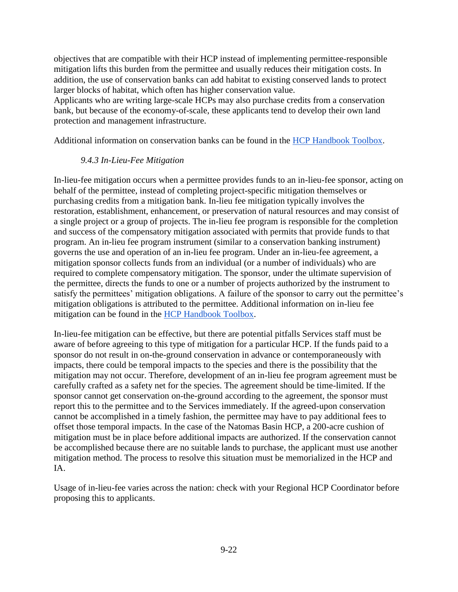objectives that are compatible with their HCP instead of implementing permittee-responsible mitigation lifts this burden from the permittee and usually reduces their mitigation costs. In addition, the use of conservation banks can add habitat to existing conserved lands to protect larger blocks of habitat, which often has higher conservation value.

Applicants who are writing large-scale HCPs may also purchase credits from a conservation bank, but because of the economy-of-scale, these applicants tend to develop their own land protection and management infrastructure.

Additional information on conservation banks can be found in the [HCP Handbook Toolbox.](https://www.fws.gov/endangered/what-we-do/hcp-handbook-toolbox.html#Ch9)

### *9.4.3 In-Lieu-Fee Mitigation*

In-lieu-fee mitigation occurs when a permittee provides funds to an in-lieu-fee sponsor, acting on behalf of the permittee, instead of completing project-specific mitigation themselves or purchasing credits from a mitigation bank. In-lieu fee mitigation typically involves the restoration, establishment, enhancement, or preservation of natural resources and may consist of a single project or a group of projects. The in-lieu fee program is responsible for the completion and success of the compensatory mitigation associated with permits that provide funds to that program. An in-lieu fee program instrument (similar to a conservation banking instrument) governs the use and operation of an in-lieu fee program. Under an in-lieu-fee agreement, a mitigation sponsor collects funds from an individual (or a number of individuals) who are required to complete compensatory mitigation. The sponsor, under the ultimate supervision of the permittee, directs the funds to one or a number of projects authorized by the instrument to satisfy the permittees' mitigation obligations. A failure of the sponsor to carry out the permittee's mitigation obligations is attributed to the permittee. Additional information on in-lieu fee mitigation can be found in the [HCP Handbook](https://www.fws.gov/endangered/what-we-do/hcp-handbook-toolbox.html#Ch9) [Toolbox.](https://www.fws.gov/endangered/what-we-do/hcp-handbook-toolbox.html#Ch9)

In-lieu-fee mitigation can be effective, but there are potential pitfalls Services staff must be aware of before agreeing to this type of mitigation for a particular HCP. If the funds paid to a sponsor do not result in on-the-ground conservation in advance or contemporaneously with impacts, there could be temporal impacts to the species and there is the possibility that the mitigation may not occur. Therefore, development of an in-lieu fee program agreement must be carefully crafted as a safety net for the species. The agreement should be time-limited. If the sponsor cannot get conservation on-the-ground according to the agreement, the sponsor must report this to the permittee and to the Services immediately. If the agreed-upon conservation cannot be accomplished in a timely fashion, the permittee may have to pay additional fees to offset those temporal impacts. In the case of the Natomas Basin HCP, a 200-acre cushion of mitigation must be in place before additional impacts are authorized. If the conservation cannot be accomplished because there are no suitable lands to purchase, the applicant must use another mitigation method. The process to resolve this situation must be memorialized in the HCP and IA.

Usage of in-lieu-fee varies across the nation: check with your Regional HCP Coordinator before proposing this to applicants.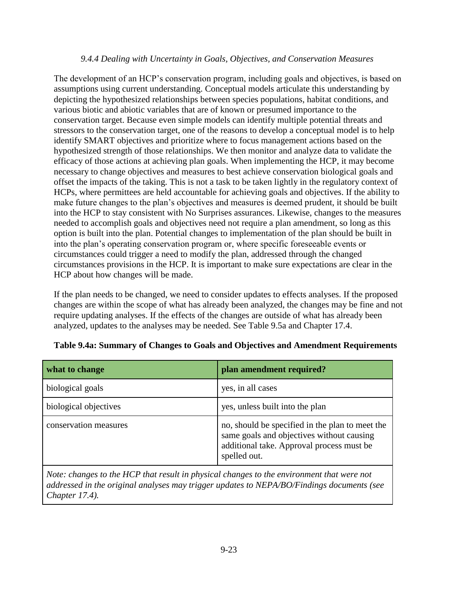#### *9.4.4 Dealing with Uncertainty in Goals, Objectives, and Conservation Measures*

The development of an HCP's conservation program, including goals and objectives, is based on assumptions using current understanding. Conceptual models articulate this understanding by depicting the hypothesized relationships between species populations, habitat conditions, and various biotic and abiotic variables that are of known or presumed importance to the conservation target. Because even simple models can identify multiple potential threats and stressors to the conservation target, one of the reasons to develop a conceptual model is to help identify SMART objectives and prioritize where to focus management actions based on the hypothesized strength of those relationships. We then monitor and analyze data to validate the efficacy of those actions at achieving plan goals. When implementing the HCP, it may become necessary to change objectives and measures to best achieve conservation biological goals and offset the impacts of the taking. This is not a task to be taken lightly in the regulatory context of HCPs, where permittees are held accountable for achieving goals and objectives. If the ability to make future changes to the plan's objectives and measures is deemed prudent, it should be built into the HCP to stay consistent with No Surprises assurances. Likewise, changes to the measures needed to accomplish goals and objectives need not require a plan amendment, so long as this option is built into the plan. Potential changes to implementation of the plan should be built in into the plan's operating conservation program or, where specific foreseeable events or circumstances could trigger a need to modify the plan, addressed through the changed circumstances provisions in the HCP. It is important to make sure expectations are clear in the HCP about how changes will be made.

If the plan needs to be changed, we need to consider updates to effects analyses. If the proposed changes are within the scope of what has already been analyzed, the changes may be fine and not require updating analyses. If the effects of the changes are outside of what has already been analyzed, updates to the analyses may be needed. See Table 9.5a and Chapter 17.4.

| what to change        | plan amendment required?                                                                                                                                  |
|-----------------------|-----------------------------------------------------------------------------------------------------------------------------------------------------------|
| biological goals      | yes, in all cases                                                                                                                                         |
| biological objectives | yes, unless built into the plan                                                                                                                           |
| conservation measures | no, should be specified in the plan to meet the<br>same goals and objectives without causing<br>additional take. Approval process must be<br>spelled out. |

### **Table 9.4a: Summary of Changes to Goals and Objectives and Amendment Requirements**

*Note: changes to the HCP that result in physical changes to the environment that were not addressed in the original analyses may trigger updates to NEPA/BO/Findings documents (see Chapter 17.4).*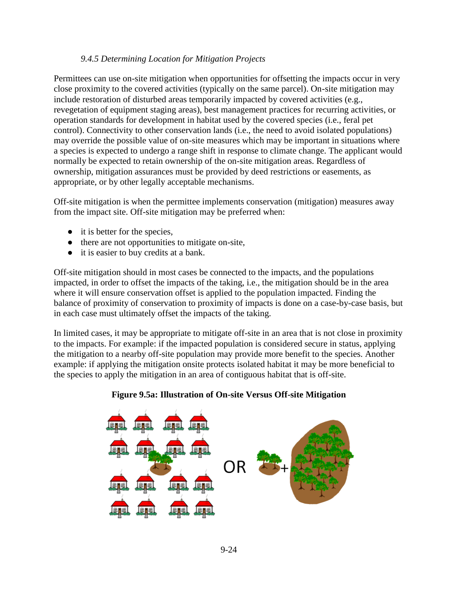#### *9.4.5 Determining Location for Mitigation Projects*

Permittees can use on-site mitigation when opportunities for offsetting the impacts occur in very close proximity to the covered activities (typically on the same parcel). On-site mitigation may include restoration of disturbed areas temporarily impacted by covered activities (e.g., revegetation of equipment staging areas), best management practices for recurring activities, or operation standards for development in habitat used by the covered species (i.e., feral pet control). Connectivity to other conservation lands (i.e., the need to avoid isolated populations) may override the possible value of on-site measures which may be important in situations where a species is expected to undergo a range shift in response to climate change. The applicant would normally be expected to retain ownership of the on-site mitigation areas. Regardless of ownership, mitigation assurances must be provided by deed restrictions or easements, as appropriate, or by other legally acceptable mechanisms.

Off-site mitigation is when the permittee implements conservation (mitigation) measures away from the impact site. Off-site mitigation may be preferred when:

- it is better for the species,
- there are not opportunities to mitigate on-site,
- it is easier to buy credits at a bank.

Off-site mitigation should in most cases be connected to the impacts, and the populations impacted, in order to offset the impacts of the taking, i.e., the mitigation should be in the area where it will ensure conservation offset is applied to the population impacted. Finding the balance of proximity of conservation to proximity of impacts is done on a case-by-case basis, but in each case must ultimately offset the impacts of the taking.

In limited cases, it may be appropriate to mitigate off-site in an area that is not close in proximity to the impacts. For example: if the impacted population is considered secure in status, applying the mitigation to a nearby off-site population may provide more benefit to the species. Another example: if applying the mitigation onsite protects isolated habitat it may be more beneficial to the species to apply the mitigation in an area of contiguous habitat that is off-site.

### **Figure 9.5a: Illustration of On-site Versus Off-site Mitigation**

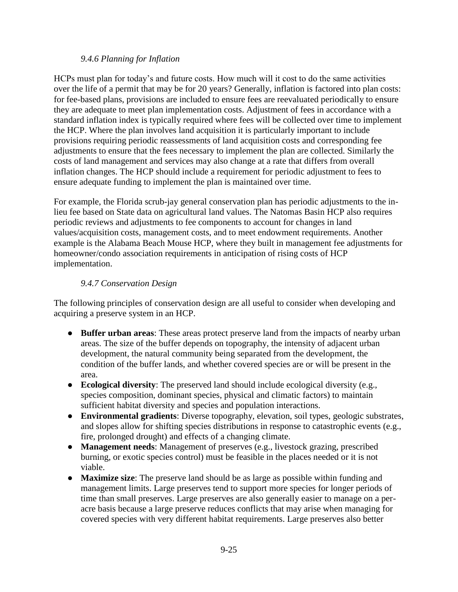### *9.4.6 Planning for Inflation*

HCPs must plan for today's and future costs. How much will it cost to do the same activities over the life of a permit that may be for 20 years? Generally, inflation is factored into plan costs: for fee-based plans, provisions are included to ensure fees are reevaluated periodically to ensure they are adequate to meet plan implementation costs. Adjustment of fees in accordance with a standard inflation index is typically required where fees will be collected over time to implement the HCP. Where the plan involves land acquisition it is particularly important to include provisions requiring periodic reassessments of land acquisition costs and corresponding fee adjustments to ensure that the fees necessary to implement the plan are collected. Similarly the costs of land management and services may also change at a rate that differs from overall inflation changes. The HCP should include a requirement for periodic adjustment to fees to ensure adequate funding to implement the plan is maintained over time.

For example, the Florida scrub-jay general conservation plan has periodic adjustments to the inlieu fee based on State data on agricultural land values. The Natomas Basin HCP also requires periodic reviews and adjustments to fee components to account for changes in land values/acquisition costs, management costs, and to meet endowment requirements. Another example is the Alabama Beach Mouse HCP, where they built in management fee adjustments for homeowner/condo association requirements in anticipation of rising costs of HCP implementation.

### *9.4.7 Conservation Design*

The following principles of conservation design are all useful to consider when developing and acquiring a preserve system in an HCP.

- **Buffer urban areas**: These areas protect preserve land from the impacts of nearby urban areas. The size of the buffer depends on topography, the intensity of adjacent urban development, the natural community being separated from the development, the condition of the buffer lands, and whether covered species are or will be present in the area.
- **Ecological diversity**: The preserved land should include ecological diversity (e.g., species composition, dominant species, physical and climatic factors) to maintain sufficient habitat diversity and species and population interactions.
- **Environmental gradients**: Diverse topography, elevation, soil types, geologic substrates, and slopes allow for shifting species distributions in response to catastrophic events (e.g., fire, prolonged drought) and effects of a changing climate.
- **Management needs**: Management of preserves (e.g., livestock grazing, prescribed burning, or exotic species control) must be feasible in the places needed or it is not viable.
- **Maximize size:** The preserve land should be as large as possible within funding and management limits. Large preserves tend to support more species for longer periods of time than small preserves. Large preserves are also generally easier to manage on a peracre basis because a large preserve reduces conflicts that may arise when managing for covered species with very different habitat requirements. Large preserves also better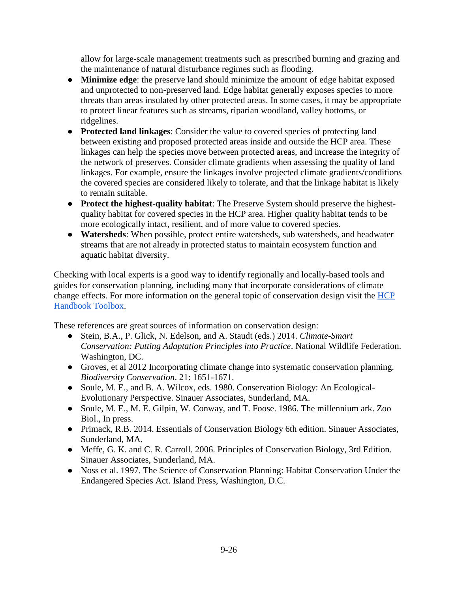allow for large-scale management treatments such as prescribed burning and grazing and the maintenance of natural disturbance regimes such as flooding.

- **Minimize edge**: the preserve land should minimize the amount of edge habitat exposed and unprotected to non-preserved land. Edge habitat generally exposes species to more threats than areas insulated by other protected areas. In some cases, it may be appropriate to protect linear features such as streams, riparian woodland, valley bottoms, or ridgelines.
- **Protected land linkages**: Consider the value to covered species of protecting land between existing and proposed protected areas inside and outside the HCP area. These linkages can help the species move between protected areas, and increase the integrity of the network of preserves. Consider climate gradients when assessing the quality of land linkages. For example, ensure the linkages involve projected climate gradients/conditions the covered species are considered likely to tolerate, and that the linkage habitat is likely to remain suitable.
- **Protect the highest-quality habitat**: The Preserve System should preserve the highestquality habitat for covered species in the HCP area. Higher quality habitat tends to be more ecologically intact, resilient, and of more value to covered species.
- **Watersheds**: When possible, protect entire watersheds, sub watersheds, and headwater streams that are not already in protected status to maintain ecosystem function and aquatic habitat diversity.

Checking with local experts is a good way to identify regionally and locally-based tools and guides for conservation planning, including many that incorporate considerations of climate change effects. For more information on the general topic of conservation design visit the [HCP](https://www.fws.gov/endangered/what-we-do/hcp-handbook-toolbox.html#Ch9)  [Handbook Toolbox.](https://www.fws.gov/endangered/what-we-do/hcp-handbook-toolbox.html#Ch9)

These references are great sources of information on conservation design:

- Stein, B.A., P. Glick, N. Edelson, and A. Staudt (eds.) 2014. *Climate-Smart Conservation: Putting Adaptation Principles into Practice*. National Wildlife Federation. Washington, DC.
- Groves, et al 2012 Incorporating climate change into systematic conservation planning. *Biodiversity Conservation*. 21: 1651-1671.
- Soule, M. E., and B. A. Wilcox, eds. 1980. Conservation Biology: An Ecological-Evolutionary Perspective. Sinauer Associates, Sunderland, MA.
- Soule, M. E., M. E. Gilpin, W. Conway, and T. Foose. 1986. The millennium ark. Zoo Biol., In press.
- Primack, R.B. 2014. Essentials of Conservation Biology 6th edition. Sinauer Associates, Sunderland, MA.
- Meffe, G. K. and C. R. Carroll. 2006. Principles of Conservation Biology, 3rd Edition. Sinauer Associates, Sunderland, MA.
- Noss et al. 1997. The Science of Conservation Planning: Habitat Conservation Under the Endangered Species Act. Island Press, Washington, D.C.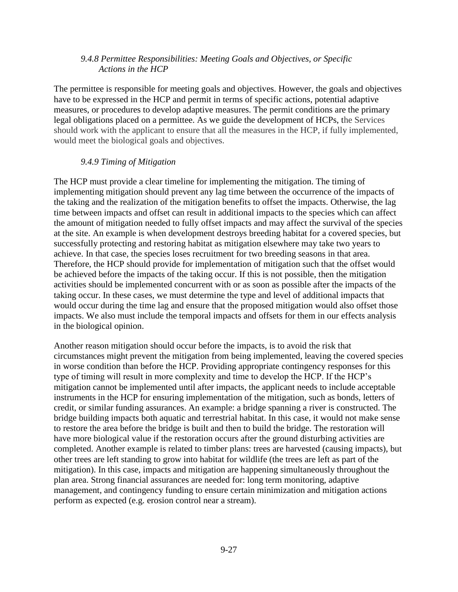### *9.4.8 Permittee Responsibilities: Meeting Goals and Objectives, or Specific Actions in the HCP*

The permittee is responsible for meeting goals and objectives. However, the goals and objectives have to be expressed in the HCP and permit in terms of specific actions, potential adaptive measures, or procedures to develop adaptive measures. The permit conditions are the primary legal obligations placed on a permittee. As we guide the development of HCPs, the Services should work with the applicant to ensure that all the measures in the HCP, if fully implemented, would meet the biological goals and objectives.

#### *9.4.9 Timing of Mitigation*

The HCP must provide a clear timeline for implementing the mitigation. The timing of implementing mitigation should prevent any lag time between the occurrence of the impacts of the taking and the realization of the mitigation benefits to offset the impacts. Otherwise, the lag time between impacts and offset can result in additional impacts to the species which can affect the amount of mitigation needed to fully offset impacts and may affect the survival of the species at the site. An example is when development destroys breeding habitat for a covered species, but successfully protecting and restoring habitat as mitigation elsewhere may take two years to achieve. In that case, the species loses recruitment for two breeding seasons in that area. Therefore, the HCP should provide for implementation of mitigation such that the offset would be achieved before the impacts of the taking occur. If this is not possible, then the mitigation activities should be implemented concurrent with or as soon as possible after the impacts of the taking occur. In these cases, we must determine the type and level of additional impacts that would occur during the time lag and ensure that the proposed mitigation would also offset those impacts. We also must include the temporal impacts and offsets for them in our effects analysis in the biological opinion.

Another reason mitigation should occur before the impacts, is to avoid the risk that circumstances might prevent the mitigation from being implemented, leaving the covered species in worse condition than before the HCP. Providing appropriate contingency responses for this type of timing will result in more complexity and time to develop the HCP. If the HCP's mitigation cannot be implemented until after impacts, the applicant needs to include acceptable instruments in the HCP for ensuring implementation of the mitigation, such as bonds, letters of credit, or similar funding assurances. An example: a bridge spanning a river is constructed. The bridge building impacts both aquatic and terrestrial habitat. In this case, it would not make sense to restore the area before the bridge is built and then to build the bridge. The restoration will have more biological value if the restoration occurs after the ground disturbing activities are completed. Another example is related to timber plans: trees are harvested (causing impacts), but other trees are left standing to grow into habitat for wildlife (the trees are left as part of the mitigation). In this case, impacts and mitigation are happening simultaneously throughout the plan area. Strong financial assurances are needed for: long term monitoring, adaptive management, and contingency funding to ensure certain minimization and mitigation actions perform as expected (e.g. erosion control near a stream).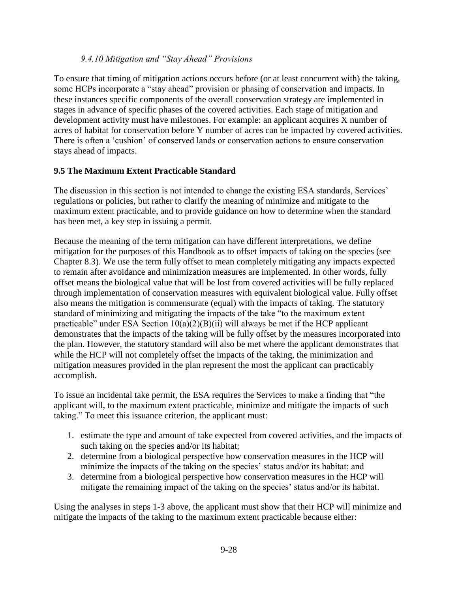### *9.4.10 Mitigation and "Stay Ahead" Provisions*

To ensure that timing of mitigation actions occurs before (or at least concurrent with) the taking, some HCPs incorporate a "stay ahead" provision or phasing of conservation and impacts. In these instances specific components of the overall conservation strategy are implemented in stages in advance of specific phases of the covered activities. Each stage of mitigation and development activity must have milestones. For example: an applicant acquires X number of acres of habitat for conservation before Y number of acres can be impacted by covered activities. There is often a 'cushion' of conserved lands or conservation actions to ensure conservation stays ahead of impacts.

### **9.5 The Maximum Extent Practicable Standard**

The discussion in this section is not intended to change the existing ESA standards, Services' regulations or policies, but rather to clarify the meaning of minimize and mitigate to the maximum extent practicable, and to provide guidance on how to determine when the standard has been met, a key step in issuing a permit.

Because the meaning of the term mitigation can have different interpretations, we define mitigation for the purposes of this Handbook as to offset impacts of taking on the species (see Chapter 8.3). We use the term fully offset to mean completely mitigating any impacts expected to remain after avoidance and minimization measures are implemented. In other words, fully offset means the biological value that will be lost from covered activities will be fully replaced through implementation of conservation measures with equivalent biological value. Fully offset also means the mitigation is commensurate (equal) with the impacts of taking. The statutory standard of minimizing and mitigating the impacts of the take "to the maximum extent practicable" under ESA Section  $10(a)(2)(B)(ii)$  will always be met if the HCP applicant demonstrates that the impacts of the taking will be fully offset by the measures incorporated into the plan. However, the statutory standard will also be met where the applicant demonstrates that while the HCP will not completely offset the impacts of the taking, the minimization and mitigation measures provided in the plan represent the most the applicant can practicably accomplish.

To issue an incidental take permit, the ESA requires the Services to make a finding that "the applicant will, to the maximum extent practicable, minimize and mitigate the impacts of such taking." To meet this issuance criterion, the applicant must:

- 1. estimate the type and amount of take expected from covered activities, and the impacts of such taking on the species and/or its habitat;
- 2. determine from a biological perspective how conservation measures in the HCP will minimize the impacts of the taking on the species' status and/or its habitat; and
- 3. determine from a biological perspective how conservation measures in the HCP will mitigate the remaining impact of the taking on the species' status and/or its habitat.

Using the analyses in steps 1-3 above, the applicant must show that their HCP will minimize and mitigate the impacts of the taking to the maximum extent practicable because either: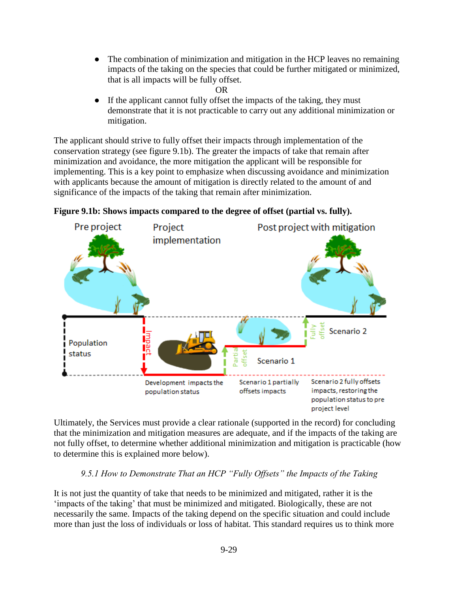- The combination of minimization and mitigation in the HCP leaves no remaining impacts of the taking on the species that could be further mitigated or minimized, that is all impacts will be fully offset.
	- OR
- If the applicant cannot fully offset the impacts of the taking, they must demonstrate that it is not practicable to carry out any additional minimization or mitigation.

The applicant should strive to fully offset their impacts through implementation of the conservation strategy (see figure 9.1b). The greater the impacts of take that remain after minimization and avoidance, the more mitigation the applicant will be responsible for implementing. This is a key point to emphasize when discussing avoidance and minimization with applicants because the amount of mitigation is directly related to the amount of and significance of the impacts of the taking that remain after minimization.





Ultimately, the Services must provide a clear rationale (supported in the record) for concluding that the minimization and mitigation measures are adequate, and if the impacts of the taking are not fully offset, to determine whether additional minimization and mitigation is practicable (how to determine this is explained more below).

# *9.5.1 How to Demonstrate That an HCP "Fully Offsets" the Impacts of the Taking*

It is not just the quantity of take that needs to be minimized and mitigated, rather it is the 'impacts of the taking' that must be minimized and mitigated. Biologically, these are not necessarily the same. Impacts of the taking depend on the specific situation and could include more than just the loss of individuals or loss of habitat. This standard requires us to think more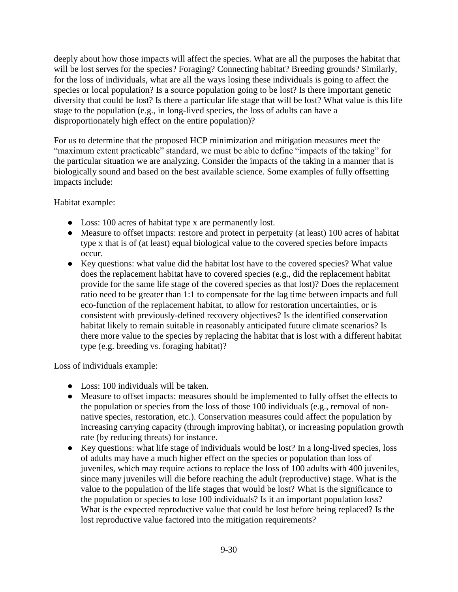deeply about how those impacts will affect the species. What are all the purposes the habitat that will be lost serves for the species? Foraging? Connecting habitat? Breeding grounds? Similarly, for the loss of individuals, what are all the ways losing these individuals is going to affect the species or local population? Is a source population going to be lost? Is there important genetic diversity that could be lost? Is there a particular life stage that will be lost? What value is this life stage to the population (e.g., in long-lived species, the loss of adults can have a disproportionately high effect on the entire population)?

For us to determine that the proposed HCP minimization and mitigation measures meet the "maximum extent practicable" standard, we must be able to define "impacts of the taking" for the particular situation we are analyzing. Consider the impacts of the taking in a manner that is biologically sound and based on the best available science. Some examples of fully offsetting impacts include:

Habitat example:

- Loss: 100 acres of habitat type x are permanently lost.
- Measure to offset impacts: restore and protect in perpetuity (at least) 100 acres of habitat type x that is of (at least) equal biological value to the covered species before impacts occur.
- Key questions: what value did the habitat lost have to the covered species? What value does the replacement habitat have to covered species (e.g., did the replacement habitat provide for the same life stage of the covered species as that lost)? Does the replacement ratio need to be greater than 1:1 to compensate for the lag time between impacts and full eco-function of the replacement habitat, to allow for restoration uncertainties, or is consistent with previously-defined recovery objectives? Is the identified conservation habitat likely to remain suitable in reasonably anticipated future climate scenarios? Is there more value to the species by replacing the habitat that is lost with a different habitat type (e.g. breeding vs. foraging habitat)?

Loss of individuals example:

- Loss: 100 individuals will be taken.
- Measure to offset impacts: measures should be implemented to fully offset the effects to the population or species from the loss of those 100 individuals (e.g., removal of nonnative species, restoration, etc.). Conservation measures could affect the population by increasing carrying capacity (through improving habitat), or increasing population growth rate (by reducing threats) for instance.
- Key questions: what life stage of individuals would be lost? In a long-lived species, loss of adults may have a much higher effect on the species or population than loss of juveniles, which may require actions to replace the loss of 100 adults with 400 juveniles, since many juveniles will die before reaching the adult (reproductive) stage. What is the value to the population of the life stages that would be lost? What is the significance to the population or species to lose 100 individuals? Is it an important population loss? What is the expected reproductive value that could be lost before being replaced? Is the lost reproductive value factored into the mitigation requirements?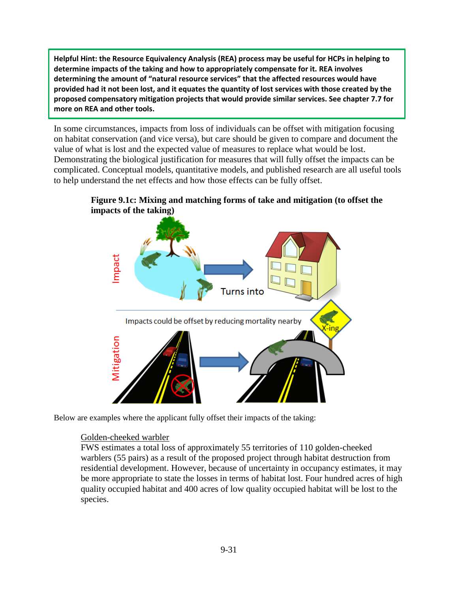**Helpful Hint: the Resource Equivalency Analysis (REA) process may be useful for HCPs in helping to determine impacts of the taking and how to appropriately compensate for it. REA involves determining the amount of "natural resource services" that the affected resources would have provided had it not been lost, and it equates the quantity of lost services with those created by the proposed compensatory mitigation projects that would provide similar services. See chapter 7.7 for more on REA and other tools.** 

In some circumstances, impacts from loss of individuals can be offset with mitigation focusing on habitat conservation (and vice versa), but care should be given to compare and document the value of what is lost and the expected value of measures to replace what would be lost. Demonstrating the biological justification for measures that will fully offset the impacts can be complicated. Conceptual models, quantitative models, and published research are all useful tools to help understand the net effects and how those effects can be fully offset.

**Figure 9.1c: Mixing and matching forms of take and mitigation (to offset the impacts of the taking)**



Below are examples where the applicant fully offset their impacts of the taking:

### Golden-cheeked warbler

FWS estimates a total loss of approximately 55 territories of 110 golden-cheeked warblers (55 pairs) as a result of the proposed project through habitat destruction from residential development. However, because of uncertainty in occupancy estimates, it may be more appropriate to state the losses in terms of habitat lost. Four hundred acres of high quality occupied habitat and 400 acres of low quality occupied habitat will be lost to the species.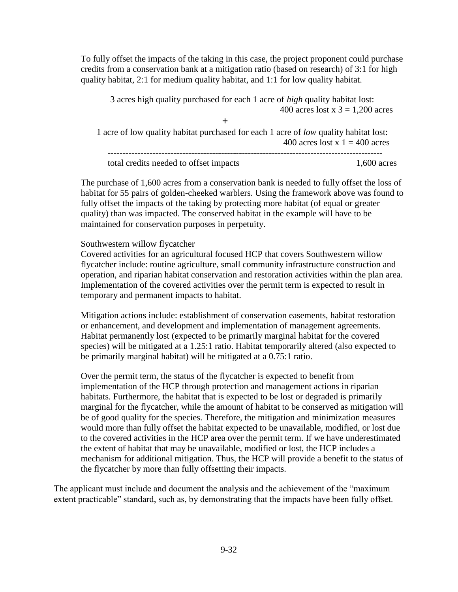To fully offset the impacts of the taking in this case, the project proponent could purchase credits from a conservation bank at a mitigation ratio (based on research) of 3:1 for high quality habitat, 2:1 for medium quality habitat, and 1:1 for low quality habitat.

3 acres high quality purchased for each 1 acre of *high* quality habitat lost: 400 acres lost x  $3 = 1,200$  acres **+** 1 acre of low quality habitat purchased for each 1 acre of *low* quality habitat lost: 400 acres lost  $x = 400$  acres ------------------------------------------------------------------------------------------- total credits needed to offset impacts 1,600 acres

The purchase of 1,600 acres from a conservation bank is needed to fully offset the loss of habitat for 55 pairs of golden-cheeked warblers. Using the framework above was found to fully offset the impacts of the taking by protecting more habitat (of equal or greater quality) than was impacted. The conserved habitat in the example will have to be maintained for conservation purposes in perpetuity.

#### Southwestern willow flycatcher

Covered activities for an agricultural focused HCP that covers Southwestern willow flycatcher include: routine agriculture, small community infrastructure construction and operation, and riparian habitat conservation and restoration activities within the plan area. Implementation of the covered activities over the permit term is expected to result in temporary and permanent impacts to habitat.

Mitigation actions include: establishment of conservation easements, habitat restoration or enhancement, and development and implementation of management agreements. Habitat permanently lost (expected to be primarily marginal habitat for the covered species) will be mitigated at a 1.25:1 ratio. Habitat temporarily altered (also expected to be primarily marginal habitat) will be mitigated at a 0.75:1 ratio.

Over the permit term, the status of the flycatcher is expected to benefit from implementation of the HCP through protection and management actions in riparian habitats. Furthermore, the habitat that is expected to be lost or degraded is primarily marginal for the flycatcher, while the amount of habitat to be conserved as mitigation will be of good quality for the species. Therefore, the mitigation and minimization measures would more than fully offset the habitat expected to be unavailable, modified, or lost due to the covered activities in the HCP area over the permit term. If we have underestimated the extent of habitat that may be unavailable, modified or lost, the HCP includes a mechanism for additional mitigation. Thus, the HCP will provide a benefit to the status of the flycatcher by more than fully offsetting their impacts.

The applicant must include and document the analysis and the achievement of the "maximum extent practicable" standard, such as, by demonstrating that the impacts have been fully offset.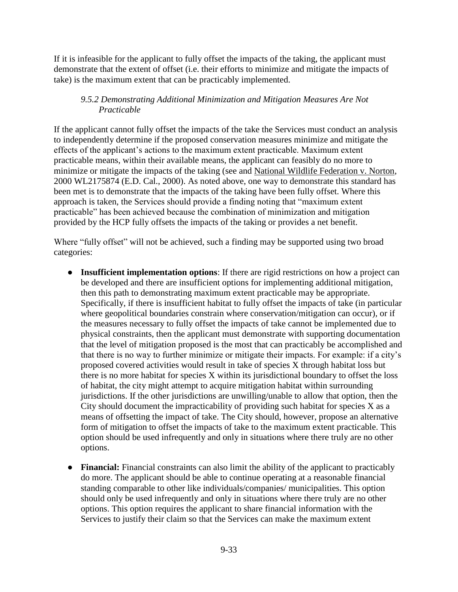If it is infeasible for the applicant to fully offset the impacts of the taking, the applicant must demonstrate that the extent of offset (i.e. their efforts to minimize and mitigate the impacts of take) is the maximum extent that can be practicably implemented.

# *9.5.2 Demonstrating Additional Minimization and Mitigation Measures Are Not Practicable*

If the applicant cannot fully offset the impacts of the take the Services must conduct an analysis to independently determine if the proposed conservation measures minimize and mitigate the effects of the applicant's actions to the maximum extent practicable. Maximum extent practicable means, within their available means, the applicant can feasibly do no more to minimize or mitigate the impacts of the taking (see and National Wildlife Federation v. Norton, 2000 WL2175874 (E.D. Cal., 2000). As noted above, one way to demonstrate this standard has been met is to demonstrate that the impacts of the taking have been fully offset. Where this approach is taken, the Services should provide a finding noting that "maximum extent practicable" has been achieved because the combination of minimization and mitigation provided by the HCP fully offsets the impacts of the taking or provides a net benefit.

Where "fully offset" will not be achieved, such a finding may be supported using two broad categories:

- **Insufficient implementation options**: If there are rigid restrictions on how a project can be developed and there are insufficient options for implementing additional mitigation, then this path to demonstrating maximum extent practicable may be appropriate. Specifically, if there is insufficient habitat to fully offset the impacts of take (in particular where geopolitical boundaries constrain where conservation/mitigation can occur), or if the measures necessary to fully offset the impacts of take cannot be implemented due to physical constraints, then the applicant must demonstrate with supporting documentation that the level of mitigation proposed is the most that can practicably be accomplished and that there is no way to further minimize or mitigate their impacts. For example: if a city's proposed covered activities would result in take of species X through habitat loss but there is no more habitat for species X within its jurisdictional boundary to offset the loss of habitat, the city might attempt to acquire mitigation habitat within surrounding jurisdictions. If the other jurisdictions are unwilling/unable to allow that option, then the City should document the impracticability of providing such habitat for species  $X$  as a means of offsetting the impact of take. The City should, however, propose an alternative form of mitigation to offset the impacts of take to the maximum extent practicable. This option should be used infrequently and only in situations where there truly are no other options.
- **Financial:** Financial constraints can also limit the ability of the applicant to practicably do more. The applicant should be able to continue operating at a reasonable financial standing comparable to other like individuals/companies/ municipalities. This option should only be used infrequently and only in situations where there truly are no other options. This option requires the applicant to share financial information with the Services to justify their claim so that the Services can make the maximum extent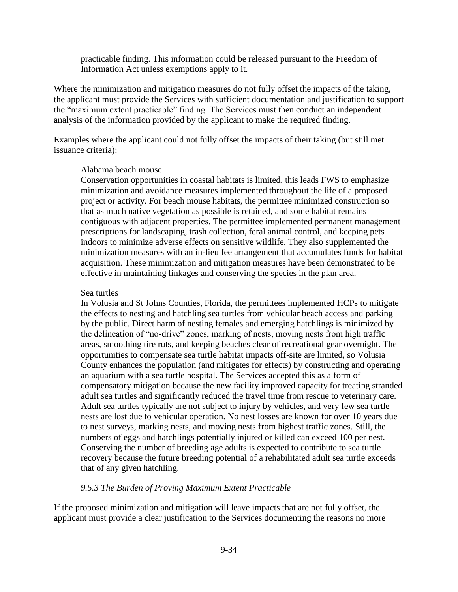practicable finding. This information could be released pursuant to the Freedom of Information Act unless exemptions apply to it.

Where the minimization and mitigation measures do not fully offset the impacts of the taking, the applicant must provide the Services with sufficient documentation and justification to support the "maximum extent practicable" finding. The Services must then conduct an independent analysis of the information provided by the applicant to make the required finding.

Examples where the applicant could not fully offset the impacts of their taking (but still met issuance criteria):

#### Alabama beach mouse

Conservation opportunities in coastal habitats is limited, this leads FWS to emphasize minimization and avoidance measures implemented throughout the life of a proposed project or activity. For beach mouse habitats, the permittee minimized construction so that as much native vegetation as possible is retained, and some habitat remains contiguous with adjacent properties. The permittee implemented permanent management prescriptions for landscaping, trash collection, feral animal control, and keeping pets indoors to minimize adverse effects on sensitive wildlife. They also supplemented the minimization measures with an in-lieu fee arrangement that accumulates funds for habitat acquisition. These minimization and mitigation measures have been demonstrated to be effective in maintaining linkages and conserving the species in the plan area.

#### Sea turtles

In Volusia and St Johns Counties, Florida, the permittees implemented HCPs to mitigate the effects to nesting and hatchling sea turtles from vehicular beach access and parking by the public. Direct harm of nesting females and emerging hatchlings is minimized by the delineation of "no-drive" zones, marking of nests, moving nests from high traffic areas, smoothing tire ruts, and keeping beaches clear of recreational gear overnight. The opportunities to compensate sea turtle habitat impacts off-site are limited, so Volusia County enhances the population (and mitigates for effects) by constructing and operating an aquarium with a sea turtle hospital. The Services accepted this as a form of compensatory mitigation because the new facility improved capacity for treating stranded adult sea turtles and significantly reduced the travel time from rescue to veterinary care. Adult sea turtles typically are not subject to injury by vehicles, and very few sea turtle nests are lost due to vehicular operation. No nest losses are known for over 10 years due to nest surveys, marking nests, and moving nests from highest traffic zones. Still, the numbers of eggs and hatchlings potentially injured or killed can exceed 100 per nest. Conserving the number of breeding age adults is expected to contribute to sea turtle recovery because the future breeding potential of a rehabilitated adult sea turtle exceeds that of any given hatchling.

### *9.5.3 The Burden of Proving Maximum Extent Practicable*

If the proposed minimization and mitigation will leave impacts that are not fully offset, the applicant must provide a clear justification to the Services documenting the reasons no more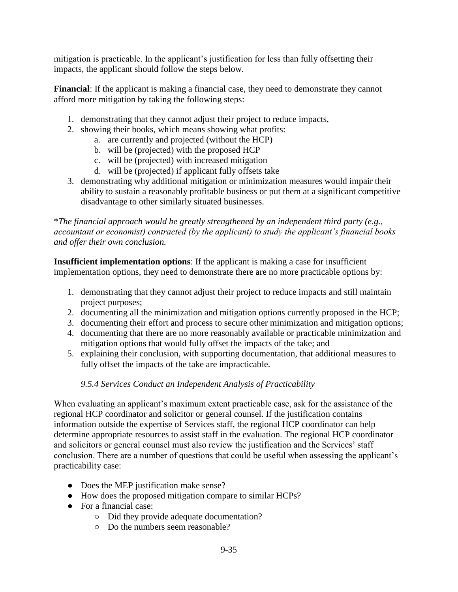mitigation is practicable. In the applicant's justification for less than fully offsetting their impacts, the applicant should follow the steps below.

**Financial**: If the applicant is making a financial case, they need to demonstrate they cannot afford more mitigation by taking the following steps:

- 1. demonstrating that they cannot adjust their project to reduce impacts,
- 2. showing their books, which means showing what profits:
	- a. are currently and projected (without the HCP)
	- b. will be (projected) with the proposed HCP
	- c. will be (projected) with increased mitigation
	- d. will be (projected) if applicant fully offsets take
- 3. demonstrating why additional mitigation or minimization measures would impair their ability to sustain a reasonably profitable business or put them at a significant competitive disadvantage to other similarly situated businesses.

\**The financial approach would be greatly strengthened by an independent third party (e.g., accountant or economist) contracted (by the applicant) to study the applicant's financial books and offer their own conclusion.*

**Insufficient implementation options**: If the applicant is making a case for insufficient implementation options, they need to demonstrate there are no more practicable options by:

- 1. demonstrating that they cannot adjust their project to reduce impacts and still maintain project purposes;
- 2. documenting all the minimization and mitigation options currently proposed in the HCP;
- 3. documenting their effort and process to secure other minimization and mitigation options;
- 4. documenting that there are no more reasonably available or practicable minimization and mitigation options that would fully offset the impacts of the take; and
- 5. explaining their conclusion, with supporting documentation, that additional measures to fully offset the impacts of the take are impracticable.

# *9.5.4 Services Conduct an Independent Analysis of Practicability*

When evaluating an applicant's maximum extent practicable case, ask for the assistance of the regional HCP coordinator and solicitor or general counsel. If the justification contains information outside the expertise of Services staff, the regional HCP coordinator can help determine appropriate resources to assist staff in the evaluation. The regional HCP coordinator and solicitors or general counsel must also review the justification and the Services' staff conclusion. There are a number of questions that could be useful when assessing the applicant's practicability case:

- Does the MEP justification make sense?
- How does the proposed mitigation compare to similar HCPs?
- For a financial case:
	- Did they provide adequate documentation?
	- Do the numbers seem reasonable?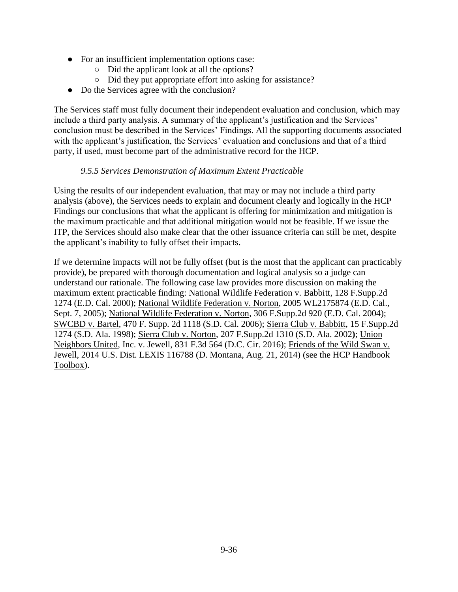- For an insufficient implementation options case:
	- Did the applicant look at all the options?
	- Did they put appropriate effort into asking for assistance?
- Do the Services agree with the conclusion?

The Services staff must fully document their independent evaluation and conclusion, which may include a third party analysis. A summary of the applicant's justification and the Services' conclusion must be described in the Services' Findings. All the supporting documents associated with the applicant's justification, the Services' evaluation and conclusions and that of a third party, if used, must become part of the administrative record for the HCP.

### *9.5.5 Services Demonstration of Maximum Extent Practicable*

Using the results of our independent evaluation, that may or may not include a third party analysis (above), the Services needs to explain and document clearly and logically in the HCP Findings our conclusions that what the applicant is offering for minimization and mitigation is the maximum practicable and that additional mitigation would not be feasible. If we issue the ITP, the Services should also make clear that the other issuance criteria can still be met, despite the applicant's inability to fully offset their impacts.

If we determine impacts will not be fully offset (but is the most that the applicant can practicably provide), be prepared with thorough documentation and logical analysis so a judge can understand our rationale. The following case law provides more discussion on making the maximum extent practicable finding: National Wildlife Federation v. Babbitt, 128 F.Supp.2d 1274 (E.D. Cal. 2000); National Wildlife Federation v. Norton, 2005 WL2175874 (E.D. Cal., Sept. 7, 2005); National Wildlife Federation v. Norton, 306 F.Supp.2d 920 (E.D. Cal. 2004); SWCBD v. Bartel, 470 F. Supp. 2d 1118 (S.D. Cal. 2006); Sierra Club v. Babbitt, 15 F.Supp.2d 1274 (S.D. Ala. 1998); Sierra Club v. Norton, 207 F.Supp.2d 1310 (S.D. Ala. 2002**)**; Union Neighbors United, Inc. v. Jewell, 831 F.3d 564 (D.C. Cir. 2016); Friends of the Wild Swan v. Jewell, 2014 U.S. Dist. LEXIS 116788 (D. Montana, Aug. 21, 2014) (see the [HCP Handbook](https://www.fws.gov/endangered/what-we-do/hcp-handbook-toolbox.html#Ch9)  [Toolbox\)](https://www.fws.gov/endangered/what-we-do/hcp-handbook-toolbox.html#Ch9).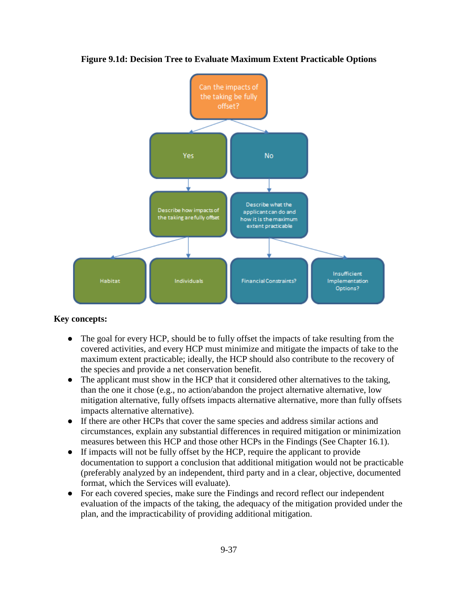

**Figure 9.1d: Decision Tree to Evaluate Maximum Extent Practicable Options**

### **Key concepts:**

- The goal for every HCP, should be to fully offset the impacts of take resulting from the covered activities, and every HCP must minimize and mitigate the impacts of take to the maximum extent practicable; ideally, the HCP should also contribute to the recovery of the species and provide a net conservation benefit.
- The applicant must show in the HCP that it considered other alternatives to the taking, than the one it chose (e.g., no action/abandon the project alternative alternative, low mitigation alternative, fully offsets impacts alternative alternative, more than fully offsets impacts alternative alternative).
- If there are other HCPs that cover the same species and address similar actions and circumstances, explain any substantial differences in required mitigation or minimization measures between this HCP and those other HCPs in the Findings (See Chapter 16.1).
- If impacts will not be fully offset by the HCP, require the applicant to provide documentation to support a conclusion that additional mitigation would not be practicable (preferably analyzed by an independent, third party and in a clear, objective, documented format, which the Services will evaluate).
- For each covered species, make sure the Findings and record reflect our independent evaluation of the impacts of the taking, the adequacy of the mitigation provided under the plan, and the impracticability of providing additional mitigation.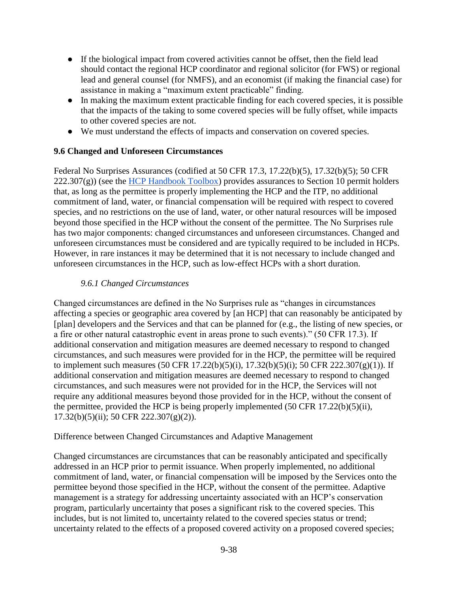- If the biological impact from covered activities cannot be offset, then the field lead should contact the regional HCP coordinator and regional solicitor (for FWS) or regional lead and general counsel (for NMFS), and an economist (if making the financial case) for assistance in making a "maximum extent practicable" finding.
- In making the maximum extent practicable finding for each covered species, it is possible that the impacts of the taking to some covered species will be fully offset, while impacts to other covered species are not.
- We must understand the effects of impacts and conservation on covered species.

# **9.6 Changed and Unforeseen Circumstances**

Federal No Surprises Assurances (codified at 50 CFR 17.3, 17.22(b)(5), 17.32(b)(5); 50 CFR  $222.307(g)$ ) (see the [HCP Handbook Toolbox\)](https://www.fws.gov/endangered/what-we-do/hcp-handbook-toolbox.html#Ch9) provides assurances to Section 10 permit holders that, as long as the permittee is properly implementing the HCP and the ITP, no additional commitment of land, water, or financial compensation will be required with respect to covered species, and no restrictions on the use of land, water, or other natural resources will be imposed beyond those specified in the HCP without the consent of the permittee. The No Surprises rule has two major components: changed circumstances and unforeseen circumstances. Changed and unforeseen circumstances must be considered and are typically required to be included in HCPs. However, in rare instances it may be determined that it is not necessary to include changed and unforeseen circumstances in the HCP, such as low-effect HCPs with a short duration.

# *9.6.1 Changed Circumstances*

Changed circumstances are defined in the No Surprises rule as "changes in circumstances affecting a species or geographic area covered by [an HCP] that can reasonably be anticipated by [plan] developers and the Services and that can be planned for (e.g., the listing of new species, or a fire or other natural catastrophic event in areas prone to such events)." (50 CFR 17.3). If additional conservation and mitigation measures are deemed necessary to respond to changed circumstances, and such measures were provided for in the HCP, the permittee will be required to implement such measures (50 CFR 17.22(b)(5)(i), 17.32(b)(5)(i); 50 CFR 222.307(g)(1)). If additional conservation and mitigation measures are deemed necessary to respond to changed circumstances, and such measures were not provided for in the HCP, the Services will not require any additional measures beyond those provided for in the HCP, without the consent of the permittee, provided the HCP is being properly implemented (50 CFR 17.22(b)(5)(ii), 17.32(b)(5)(ii); 50 CFR 222.307(g)(2)).

### Difference between Changed Circumstances and Adaptive Management

Changed circumstances are circumstances that can be reasonably anticipated and specifically addressed in an HCP prior to permit issuance. When properly implemented, no additional commitment of land, water, or financial compensation will be imposed by the Services onto the permittee beyond those specified in the HCP, without the consent of the permittee. Adaptive management is a strategy for addressing uncertainty associated with an HCP's conservation program, particularly uncertainty that poses a significant risk to the covered species. This includes, but is not limited to, uncertainty related to the covered species status or trend; uncertainty related to the effects of a proposed covered activity on a proposed covered species;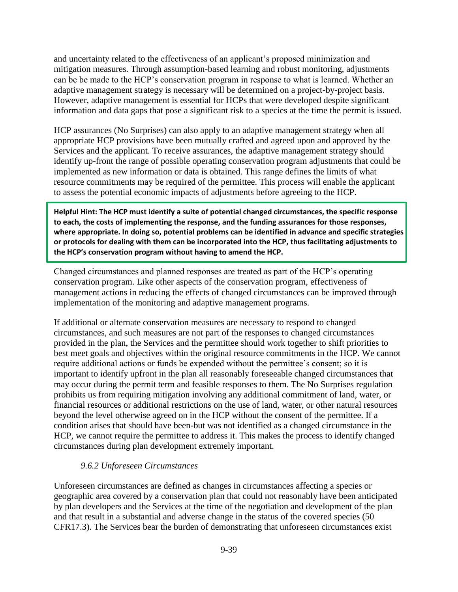and uncertainty related to the effectiveness of an applicant's proposed minimization and mitigation measures. Through assumption-based learning and robust monitoring, adjustments can be be made to the HCP's conservation program in response to what is learned. Whether an adaptive management strategy is necessary will be determined on a project-by-project basis. However, adaptive management is essential for HCPs that were developed despite significant information and data gaps that pose a significant risk to a species at the time the permit is issued.

HCP assurances (No Surprises) can also apply to an adaptive management strategy when all appropriate HCP provisions have been mutually crafted and agreed upon and approved by the Services and the applicant. To receive assurances, the adaptive management strategy should identify up-front the range of possible operating conservation program adjustments that could be implemented as new information or data is obtained. This range defines the limits of what resource commitments may be required of the permittee. This process will enable the applicant to assess the potential economic impacts of adjustments before agreeing to the HCP.

**Helpful Hint: The HCP must identify a suite of potential changed circumstances, the specific response to each, the costs of implementing the response, and the funding assurances for those responses, where appropriate. In doing so, potential problems can be identified in advance and specific strategies or protocols for dealing with them can be incorporated into the HCP, thus facilitating adjustments to the HCP's conservation program without having to amend the HCP.**

Changed circumstances and planned responses are treated as part of the HCP's operating conservation program. Like other aspects of the conservation program, effectiveness of management actions in reducing the effects of changed circumstances can be improved through implementation of the monitoring and adaptive management programs.

If additional or alternate conservation measures are necessary to respond to changed circumstances, and such measures are not part of the responses to changed circumstances provided in the plan, the Services and the permittee should work together to shift priorities to best meet goals and objectives within the original resource commitments in the HCP. We cannot require additional actions or funds be expended without the permittee's consent; so it is important to identify upfront in the plan all reasonably foreseeable changed circumstances that may occur during the permit term and feasible responses to them. The No Surprises regulation prohibits us from requiring mitigation involving any additional commitment of land, water, or financial resources or additional restrictions on the use of land, water, or other natural resources beyond the level otherwise agreed on in the HCP without the consent of the permittee. If a condition arises that should have been-but was not identified as a changed circumstance in the HCP, we cannot require the permittee to address it. This makes the process to identify changed circumstances during plan development extremely important.

### *9.6.2 Unforeseen Circumstances*

Unforeseen circumstances are defined as changes in circumstances affecting a species or geographic area covered by a conservation plan that could not reasonably have been anticipated by plan developers and the Services at the time of the negotiation and development of the plan and that result in a substantial and adverse change in the status of the covered species (50 CFR17.3). The Services bear the burden of demonstrating that unforeseen circumstances exist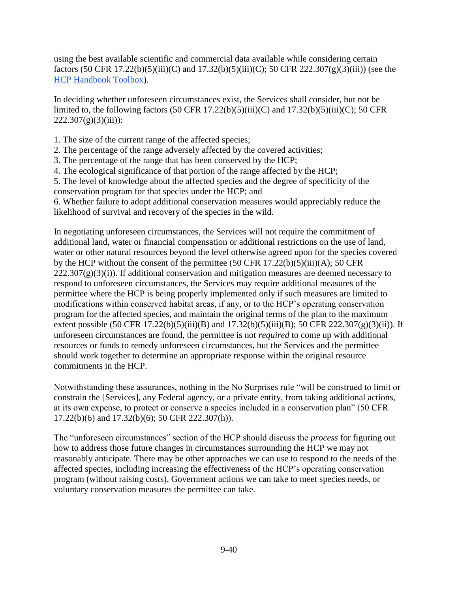using the best available scientific and commercial data available while considering certain factors (50 CFR 17.22(b)(5)(iii)(C) and 17.32(b)(5)(iii)(C); 50 CFR 222.307(g)(3)(iii)) (see the [HCP Handbook Toolbox\)](https://www.fws.gov/endangered/what-we-do/hcp-handbook-toolbox.html#Ch9).

In deciding whether unforeseen circumstances exist, the Services shall consider, but not be limited to, the following factors  $(50 \text{ CFR } 17.22(b)(5)(iii)(C)$  and  $17.32(b)(5)(iii)(C)$ ; 50 CFR  $222.307(g)(3)(iii)$ :

- 1. The size of the current range of the affected species;
- 2. The percentage of the range adversely affected by the covered activities;
- 3. The percentage of the range that has been conserved by the HCP;
- 4. The ecological significance of that portion of the range affected by the HCP;
- 5. The level of knowledge about the affected species and the degree of specificity of the conservation program for that species under the HCP; and
- 6. Whether failure to adopt additional conservation measures would appreciably reduce the likelihood of survival and recovery of the species in the wild.

In negotiating unforeseen circumstances, the Services will not require the commitment of additional land, water or financial compensation or additional restrictions on the use of land, water or other natural resources beyond the level otherwise agreed upon for the species covered by the HCP without the consent of the permittee (50 CFR 17.22(b)(5)(iii)(A); 50 CFR  $222.307(g)(3)(i)$ ). If additional conservation and mitigation measures are deemed necessary to respond to unforeseen circumstances, the Services may require additional measures of the permittee where the HCP is being properly implemented only if such measures are limited to modifications within conserved habitat areas, if any, or to the HCP's operating conservation program for the affected species, and maintain the original terms of the plan to the maximum extent possible (50 CFR 17.22(b)(5)(iii)(B) and  $17.32(b)(5)(iii)(B)$ ; 50 CFR  $222.307(g)(3)(ii)$ ). If unforeseen circumstances are found, the permittee is not *required* to come up with additional resources or funds to remedy unforeseen circumstances, but the Services and the permittee should work together to determine an appropriate response within the original resource commitments in the HCP.

Notwithstanding these assurances, nothing in the No Surprises rule "will be construed to limit or constrain the [Services], any Federal agency, or a private entity, from taking additional actions, at its own expense, to protect or conserve a species included in a conservation plan" (50 CFR 17.22(b)(6) and 17.32(b)(6); 50 CFR 222.307(h)).

The "unforeseen circumstances" section of the HCP should discuss the *process* for figuring out how to address those future changes in circumstances surrounding the HCP we may not reasonably anticipate. There may be other approaches we can use to respond to the needs of the affected species, including increasing the effectiveness of the HCP's operating conservation program (without raising costs), Government actions we can take to meet species needs, or voluntary conservation measures the permittee can take.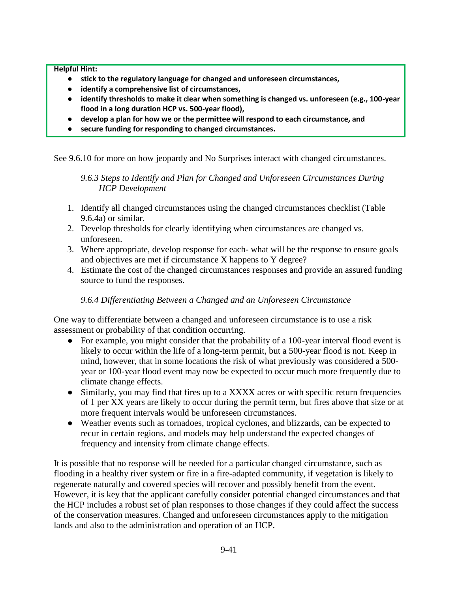**Helpful Hint:** 

- **stick to the regulatory language for changed and unforeseen circumstances,**
- **identify a comprehensive list of circumstances,**
- **identify thresholds to make it clear when something is changed vs. unforeseen (e.g., 100-year flood in a long duration HCP vs. 500-year flood),**
- **develop a plan for how we or the permittee will respond to each circumstance, and**
- **secure funding for responding to changed circumstances.**

See 9.6.10 for more on how jeopardy and No Surprises interact with changed circumstances.

*9.6.3 Steps to Identify and Plan for Changed and Unforeseen Circumstances During HCP Development*

- 1. Identify all changed circumstances using the changed circumstances checklist (Table 9.6.4a) or similar.
- 2. Develop thresholds for clearly identifying when circumstances are changed vs. unforeseen.
- 3. Where appropriate, develop response for each- what will be the response to ensure goals and objectives are met if circumstance X happens to Y degree?
- 4. Estimate the cost of the changed circumstances responses and provide an assured funding source to fund the responses.

### *9.6.4 Differentiating Between a Changed and an Unforeseen Circumstance*

One way to differentiate between a changed and unforeseen circumstance is to use a risk assessment or probability of that condition occurring.

- For example, you might consider that the probability of a 100-year interval flood event is likely to occur within the life of a long-term permit, but a 500-year flood is not. Keep in mind, however, that in some locations the risk of what previously was considered a 500 year or 100-year flood event may now be expected to occur much more frequently due to climate change effects.
- Similarly, you may find that fires up to a XXXX acres or with specific return frequencies of 1 per XX years are likely to occur during the permit term, but fires above that size or at more frequent intervals would be unforeseen circumstances.
- Weather events such as tornadoes, tropical cyclones, and blizzards, can be expected to recur in certain regions, and models may help understand the expected changes of frequency and intensity from climate change effects.

It is possible that no response will be needed for a particular changed circumstance, such as flooding in a healthy river system or fire in a fire-adapted community, if vegetation is likely to regenerate naturally and covered species will recover and possibly benefit from the event. However, it is key that the applicant carefully consider potential changed circumstances and that the HCP includes a robust set of plan responses to those changes if they could affect the success of the conservation measures. Changed and unforeseen circumstances apply to the mitigation lands and also to the administration and operation of an HCP.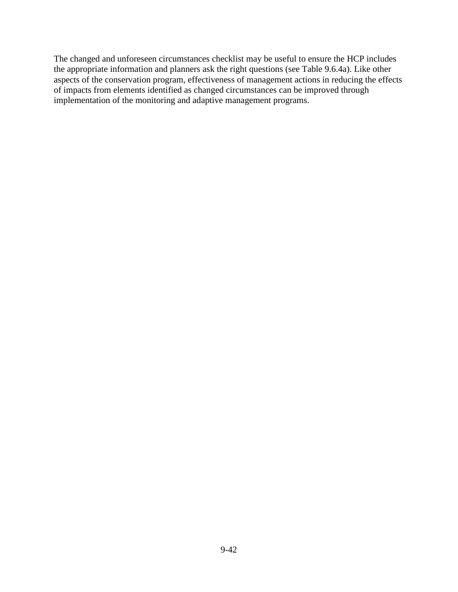The changed and unforeseen circumstances checklist may be useful to ensure the HCP includes the appropriate information and planners ask the right questions (see Table 9.6.4a). Like other aspects of the conservation program, effectiveness of management actions in reducing the effects of impacts from elements identified as changed circumstances can be improved through implementation of the monitoring and adaptive management programs.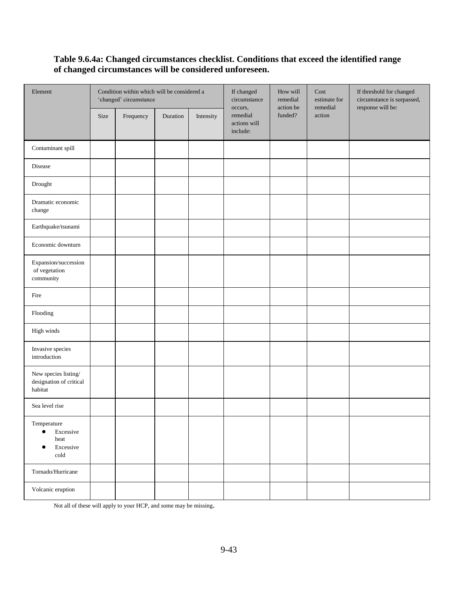## **Table 9.6.4a: Changed circumstances checklist. Conditions that exceed the identified range of changed circumstances will be considered unforeseen.**

| Element                                                                          | Condition within which will be considered a<br>'changed' circumstance |           |          | If changed<br>circumstance | How will<br>remedial<br>action be               | Cost<br>estimate for<br>remedial | If threshold for changed<br>circumstance is surpassed,<br>response will be: |  |
|----------------------------------------------------------------------------------|-----------------------------------------------------------------------|-----------|----------|----------------------------|-------------------------------------------------|----------------------------------|-----------------------------------------------------------------------------|--|
|                                                                                  | Size                                                                  | Frequency | Duration | Intensity                  | occurs,<br>remedial<br>actions will<br>include: | funded?                          | action                                                                      |  |
| Contaminant spill                                                                |                                                                       |           |          |                            |                                                 |                                  |                                                                             |  |
| Disease                                                                          |                                                                       |           |          |                            |                                                 |                                  |                                                                             |  |
| Drought                                                                          |                                                                       |           |          |                            |                                                 |                                  |                                                                             |  |
| Dramatic economic<br>change                                                      |                                                                       |           |          |                            |                                                 |                                  |                                                                             |  |
| Earthquake/tsunami                                                               |                                                                       |           |          |                            |                                                 |                                  |                                                                             |  |
| Economic downturn                                                                |                                                                       |           |          |                            |                                                 |                                  |                                                                             |  |
| Expansion/succession<br>of vegetation<br>community                               |                                                                       |           |          |                            |                                                 |                                  |                                                                             |  |
| Fire                                                                             |                                                                       |           |          |                            |                                                 |                                  |                                                                             |  |
| $\operatorname{Flooding}$                                                        |                                                                       |           |          |                            |                                                 |                                  |                                                                             |  |
| High winds                                                                       |                                                                       |           |          |                            |                                                 |                                  |                                                                             |  |
| Invasive species<br>introduction                                                 |                                                                       |           |          |                            |                                                 |                                  |                                                                             |  |
| New species listing/<br>designation of critical<br>habitat                       |                                                                       |           |          |                            |                                                 |                                  |                                                                             |  |
| Sea level rise                                                                   |                                                                       |           |          |                            |                                                 |                                  |                                                                             |  |
| Temperature<br>$\bullet$<br>Excessive<br>heat<br>Excessive<br>€<br>$_{\rm cold}$ |                                                                       |           |          |                            |                                                 |                                  |                                                                             |  |
| Tornado/Hurricane                                                                |                                                                       |           |          |                            |                                                 |                                  |                                                                             |  |
| Volcanic eruption                                                                |                                                                       |           |          |                            |                                                 |                                  |                                                                             |  |

Not all of these will apply to your HCP, and some may be missing.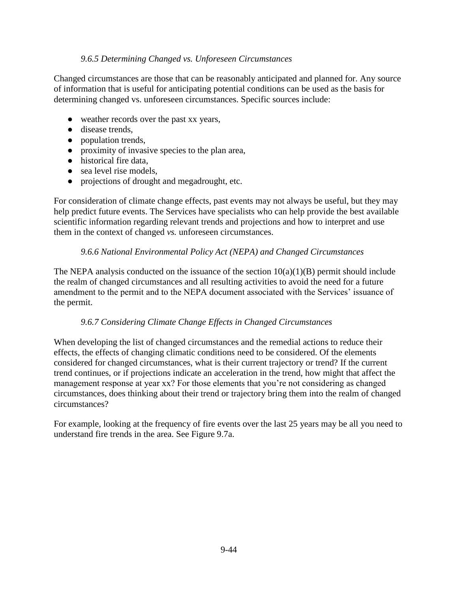### *9.6.5 Determining Changed vs. Unforeseen Circumstances*

Changed circumstances are those that can be reasonably anticipated and planned for. Any source of information that is useful for anticipating potential conditions can be used as the basis for determining changed vs. unforeseen circumstances. Specific sources include:

- weather records over the past xx years,
- disease trends,
- population trends,
- proximity of invasive species to the plan area,
- historical fire data,
- sea level rise models,
- projections of drought and megadrought, etc.

For consideration of climate change effects, past events may not always be useful, but they may help predict future events. The Services have specialists who can help provide the best available scientific information regarding relevant trends and projections and how to interpret and use them in the context of changed *vs.* unforeseen circumstances.

#### *9.6.6 National Environmental Policy Act (NEPA) and Changed Circumstances*

The NEPA analysis conducted on the issuance of the section  $10(a)(1)(B)$  permit should include the realm of changed circumstances and all resulting activities to avoid the need for a future amendment to the permit and to the NEPA document associated with the Services' issuance of the permit.

#### *9.6.7 Considering Climate Change Effects in Changed Circumstances*

When developing the list of changed circumstances and the remedial actions to reduce their effects, the effects of changing climatic conditions need to be considered. Of the elements considered for changed circumstances, what is their current trajectory or trend? If the current trend continues, or if projections indicate an acceleration in the trend, how might that affect the management response at year xx? For those elements that you're not considering as changed circumstances, does thinking about their trend or trajectory bring them into the realm of changed circumstances?

For example, looking at the frequency of fire events over the last 25 years may be all you need to understand fire trends in the area. See Figure 9.7a.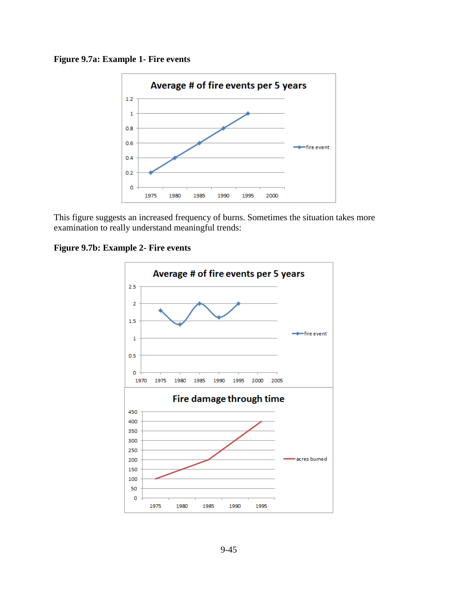



This figure suggests an increased frequency of burns. Sometimes the situation takes more examination to really understand meaningful trends:

**Figure 9.7b: Example 2- Fire events** 

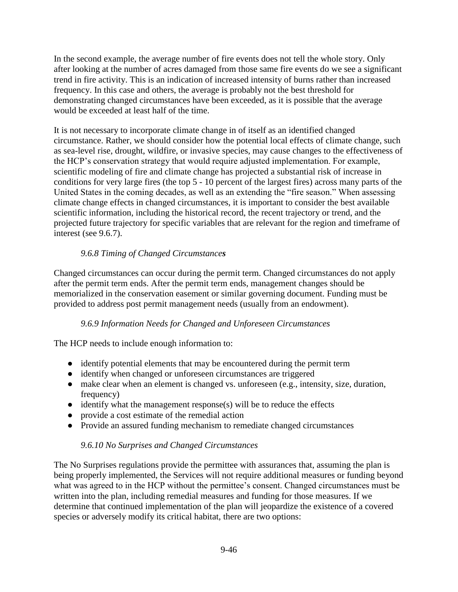In the second example, the average number of fire events does not tell the whole story. Only after looking at the number of acres damaged from those same fire events do we see a significant trend in fire activity. This is an indication of increased intensity of burns rather than increased frequency. In this case and others, the average is probably not the best threshold for demonstrating changed circumstances have been exceeded, as it is possible that the average would be exceeded at least half of the time.

It is not necessary to incorporate climate change in of itself as an identified changed circumstance. Rather, we should consider how the potential local effects of climate change, such as sea-level rise, drought, wildfire, or invasive species, may cause changes to the effectiveness of the HCP's conservation strategy that would require adjusted implementation. For example, scientific modeling of fire and climate change has projected a substantial risk of increase in conditions for very large fires (the top 5 - 10 percent of the largest fires) across many parts of the United States in the coming decades, as well as an extending the "fire season." When assessing climate change effects in changed circumstances, it is important to consider the best available scientific information, including the historical record, the recent trajectory or trend, and the projected future trajectory for specific variables that are relevant for the region and timeframe of interest (see 9.6.7).

# *9.6.8 Timing of Changed Circumstances*

Changed circumstances can occur during the permit term. Changed circumstances do not apply after the permit term ends. After the permit term ends, management changes should be memorialized in the conservation easement or similar governing document. Funding must be provided to address post permit management needs (usually from an endowment).

### *9.6.9 Information Needs for Changed and Unforeseen Circumstances*

The HCP needs to include enough information to:

- identify potential elements that may be encountered during the permit term
- identify when changed or unforeseen circumstances are triggered
- make clear when an element is changed vs. unforeseen (e.g., intensity, size, duration, frequency)
- $\bullet$  identify what the management response(s) will be to reduce the effects
- provide a cost estimate of the remedial action
- Provide an assured funding mechanism to remediate changed circumstances

# *9.6.10 No Surprises and Changed Circumstances*

The No Surprises regulations provide the permittee with assurances that, assuming the plan is being properly implemented, the Services will not require additional measures or funding beyond what was agreed to in the HCP without the permittee's consent. Changed circumstances must be written into the plan, including remedial measures and funding for those measures. If we determine that continued implementation of the plan will jeopardize the existence of a covered species or adversely modify its critical habitat, there are two options: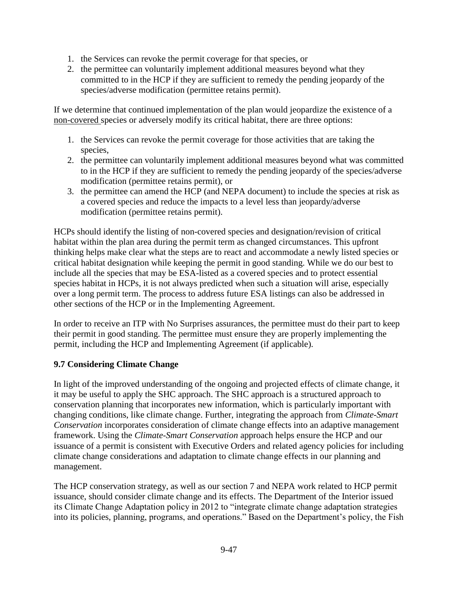- 1. the Services can revoke the permit coverage for that species, or
- 2. the permittee can voluntarily implement additional measures beyond what they committed to in the HCP if they are sufficient to remedy the pending jeopardy of the species/adverse modification (permittee retains permit).

If we determine that continued implementation of the plan would jeopardize the existence of a non-covered species or adversely modify its critical habitat, there are three options:

- 1. the Services can revoke the permit coverage for those activities that are taking the species,
- 2. the permittee can voluntarily implement additional measures beyond what was committed to in the HCP if they are sufficient to remedy the pending jeopardy of the species/adverse modification (permittee retains permit), or
- 3. the permittee can amend the HCP (and NEPA document) to include the species at risk as a covered species and reduce the impacts to a level less than jeopardy/adverse modification (permittee retains permit).

HCPs should identify the listing of non-covered species and designation/revision of critical habitat within the plan area during the permit term as changed circumstances. This upfront thinking helps make clear what the steps are to react and accommodate a newly listed species or critical habitat designation while keeping the permit in good standing. While we do our best to include all the species that may be ESA-listed as a covered species and to protect essential species habitat in HCPs, it is not always predicted when such a situation will arise, especially over a long permit term. The process to address future ESA listings can also be addressed in other sections of the HCP or in the Implementing Agreement.

In order to receive an ITP with No Surprises assurances, the permittee must do their part to keep their permit in good standing. The permittee must ensure they are properly implementing the permit, including the HCP and Implementing Agreement (if applicable).

### **9.7 Considering Climate Change**

In light of the improved understanding of the ongoing and projected effects of climate change, it it may be useful to apply the SHC approach. The SHC approach is a structured approach to conservation planning that incorporates new information, which is particularly important with changing conditions, like climate change. Further, integrating the approach from *Climate-Smart Conservation* incorporates consideration of climate change effects into an adaptive management framework. Using the *Climate-Smart Conservation* approach helps ensure the HCP and our issuance of a permit is consistent with Executive Orders and related agency policies for including climate change considerations and adaptation to climate change effects in our planning and management.

The HCP conservation strategy, as well as our section 7 and NEPA work related to HCP permit issuance, should consider climate change and its effects. The Department of the Interior issued its Climate Change Adaptation policy in 2012 to "integrate climate change adaptation strategies into its policies, planning, programs, and operations." Based on the Department's policy, the Fish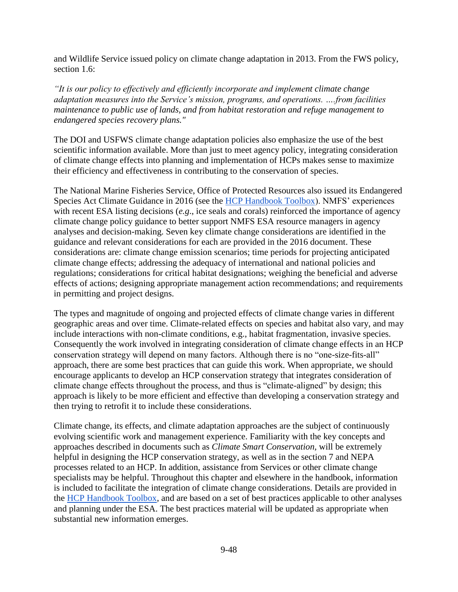and Wildlife Service issued policy on climate change adaptation in 2013. From the FWS policy, section 1.6:

*"It is our policy to effectively and efficiently incorporate and implement climate change adaptation measures into the Service's mission, programs, and operations. ….from facilities maintenance to public use of lands, and from habitat restoration and refuge management to endangered species recovery plans."* 

The DOI and USFWS climate change adaptation policies also emphasize the use of the best scientific information available. More than just to meet agency policy, integrating consideration of climate change effects into planning and implementation of HCPs makes sense to maximize their efficiency and effectiveness in contributing to the conservation of species.

The National Marine Fisheries Service, Office of Protected Resources also issued its Endangered Species Act Climate Guidance in 2016 (see the [HCP Handbook Toolbox\)](https://www.fws.gov/endangered/what-we-do/hcp-handbook-toolbox.html#Ch9). NMFS' experiences with recent ESA listing decisions (*e.g*., ice seals and corals) reinforced the importance of agency climate change policy guidance to better support NMFS ESA resource managers in agency analyses and decision-making. Seven key climate change considerations are identified in the guidance and relevant considerations for each are provided in the 2016 document. These considerations are: climate change emission scenarios; time periods for projecting anticipated climate change effects; addressing the adequacy of international and national policies and regulations; considerations for critical habitat designations; weighing the beneficial and adverse effects of actions; designing appropriate management action recommendations; and requirements in permitting and project designs.

The types and magnitude of ongoing and projected effects of climate change varies in different geographic areas and over time. Climate-related effects on species and habitat also vary, and may include interactions with non-climate conditions, e.g., habitat fragmentation, invasive species. Consequently the work involved in integrating consideration of climate change effects in an HCP conservation strategy will depend on many factors. Although there is no "one-size-fits-all" approach, there are some best practices that can guide this work. When appropriate, we should encourage applicants to develop an HCP conservation strategy that integrates consideration of climate change effects throughout the process, and thus is "climate-aligned" by design; this approach is likely to be more efficient and effective than developing a conservation strategy and then trying to retrofit it to include these considerations.

Climate change, its effects, and climate adaptation approaches are the subject of continuously evolving scientific work and management experience. Familiarity with the key concepts and approaches described in documents such as *Climate Smart Conservation,* will be extremely helpful in designing the HCP conservation strategy, as well as in the section 7 and NEPA processes related to an HCP. In addition, assistance from Services or other climate change specialists may be helpful. Throughout this chapter and elsewhere in the handbook, information is included to facilitate the integration of climate change considerations. Details are provided in the [HCP Handbook Toolbox,](https://www.fws.gov/endangered/what-we-do/hcp-handbook-toolbox.html#Ch9) and are based on a set of best practices applicable to other analyses and planning under the ESA. The best practices material will be updated as appropriate when substantial new information emerges.